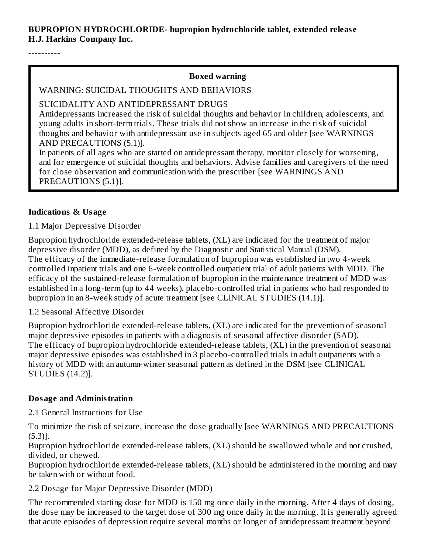**BUPROPION HYDROCHLORIDE- bupropion hydrochloride tablet, extended releas e H.J. Harkins Company Inc.**

----------

#### **Boxed warning**

#### WARNING: SUICIDAL THOUGHTS AND BEHAVIORS

SUICIDALITY AND ANTIDEPRESSANT DRUGS

Antidepressants increased the risk of suicidal thoughts and behavior in children, adolescents, and young adults in short-term trials. These trials did not show an increase in the risk of suicidal thoughts and behavior with antidepressant use in subjects aged 65 and older [see WARNINGS AND PRECAUTIONS (5.1)].

In patients of all ages who are started on antidepressant therapy, monitor closely for worsening, and for emergence of suicidal thoughts and behaviors. Advise families and caregivers of the need for close observation and communication with the prescriber [see WARNINGS AND PRECAUTIONS (5.1)].

#### **Indications & Usage**

1.1 Major Depressive Disorder

Bupropion hydrochloride extended-release tablets, (XL) are indicated for the treatment of major depressive disorder (MDD), as defined by the Diagnostic and Statistical Manual (DSM). The efficacy of the immediate-release formulation of bupropion was established in two 4-week controlled inpatient trials and one 6-week controlled outpatient trial of adult patients with MDD. The efficacy of the sustained-release formulation of bupropion in the maintenance treatment of MDD was established in a long-term (up to 44 weeks), placebo-controlled trial in patients who had responded to bupropion in an 8-week study of acute treatment [see CLINICAL STUDIES (14.1)].

#### 1.2 Seasonal Affective Disorder

Bupropion hydrochloride extended-release tablets, (XL) are indicated for the prevention of seasonal major depressive episodes in patients with a diagnosis of seasonal affective disorder (SAD). The efficacy of bupropion hydrochloride extended-release tablets, (XL) in the prevention of seasonal major depressive episodes was established in 3 placebo-controlled trials in adult outpatients with a history of MDD with an autumn-winter seasonal pattern as defined in the DSM [see CLINICAL STUDIES (14.2)].

#### **Dosage and Administration**

2.1 General Instructions for Use

To minimize the risk of seizure, increase the dose gradually [see WARNINGS AND PRECAUTIONS (5.3)].

Bupropion hydrochloride extended-release tablets, (XL) should be swallowed whole and not crushed, divided, or chewed.

Bupropion hydrochloride extended-release tablets, (XL) should be administered in the morning and may be taken with or without food.

#### 2.2 Dosage for Major Depressive Disorder (MDD)

The recommended starting dose for MDD is 150 mg once daily in the morning. After 4 days of dosing, the dose may be increased to the target dose of 300 mg once daily in the morning. It is generally agreed that acute episodes of depression require several months or longer of antidepressant treatment beyond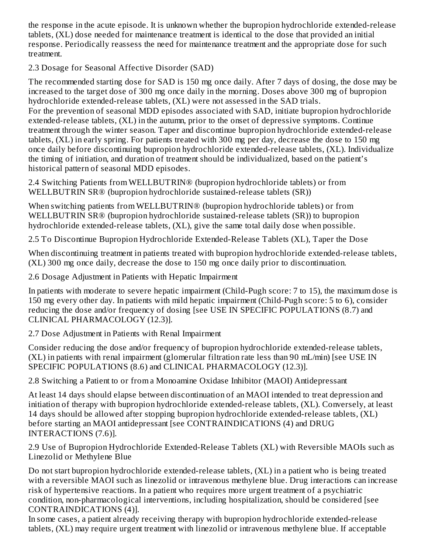the response in the acute episode. It is unknown whether the bupropion hydrochloride extended-release tablets, (XL) dose needed for maintenance treatment is identical to the dose that provided an initial response. Periodically reassess the need for maintenance treatment and the appropriate dose for such treatment.

2.3 Dosage for Seasonal Affective Disorder (SAD)

The recommended starting dose for SAD is 150 mg once daily. After 7 days of dosing, the dose may be increased to the target dose of 300 mg once daily in the morning. Doses above 300 mg of bupropion hydrochloride extended-release tablets, (XL) were not assessed in the SAD trials. For the prevention of seasonal MDD episodes associated with SAD, initiate bupropion hydrochloride extended-release tablets, (XL) in the autumn, prior to the onset of depressive symptoms. Continue treatment through the winter season. Taper and discontinue bupropion hydrochloride extended-release tablets, (XL) in early spring. For patients treated with 300 mg per day, decrease the dose to 150 mg once daily before discontinuing bupropion hydrochloride extended-release tablets, (XL). Individualize the timing of initiation, and duration of treatment should be individualized, based on the patient's historical pattern of seasonal MDD episodes.

2.4 Switching Patients from WELLBUTRIN® (bupropion hydrochloride tablets) or from WELLBUTRIN SR® (bupropion hydrochloride sustained-release tablets (SR))

When switching patients from WELLBUTRIN® (bupropion hydrochloride tablets) or from WELLBUTRIN SR® (bupropion hydrochloride sustained-release tablets (SR)) to bupropion hydrochloride extended-release tablets, (XL), give the same total daily dose when possible.

2.5 To Discontinue Bupropion Hydrochloride Extended-Release Tablets (XL), Taper the Dose

When discontinuing treatment in patients treated with bupropion hydrochloride extended-release tablets, (XL) 300 mg once daily, decrease the dose to 150 mg once daily prior to discontinuation.

2.6 Dosage Adjustment in Patients with Hepatic Impairment

In patients with moderate to severe hepatic impairment (Child-Pugh score: 7 to 15), the maximum dose is 150 mg every other day. In patients with mild hepatic impairment (Child-Pugh score: 5 to 6), consider reducing the dose and/or frequency of dosing [see USE IN SPECIFIC POPULATIONS (8.7) and CLINICAL PHARMACOLOGY (12.3)].

2.7 Dose Adjustment in Patients with Renal Impairment

Consider reducing the dose and/or frequency of bupropion hydrochloride extended-release tablets, (XL) in patients with renal impairment (glomerular filtration rate less than 90 mL/min) [see USE IN SPECIFIC POPULATIONS (8.6) and CLINICAL PHARMACOLOGY (12.3)].

2.8 Switching a Patient to or from a Monoamine Oxidase Inhibitor (MAOI) Antidepressant

At least 14 days should elapse between discontinuation of an MAOI intended to treat depression and initiation of therapy with bupropion hydrochloride extended-release tablets, (XL). Conversely, at least 14 days should be allowed after stopping bupropion hydrochloride extended-release tablets, (XL) before starting an MAOI antidepressant [see CONTRAINDICATIONS (4) and DRUG INTERACTIONS (7.6)].

2.9 Use of Bupropion Hydrochloride Extended-Release Tablets (XL) with Reversible MAOIs such as Linezolid or Methylene Blue

Do not start bupropion hydrochloride extended-release tablets, (XL) in a patient who is being treated with a reversible MAOI such as linezolid or intravenous methylene blue. Drug interactions can increase risk of hypertensive reactions. In a patient who requires more urgent treatment of a psychiatric condition, non-pharmacological interventions, including hospitalization, should be considered [see CONTRAINDICATIONS (4)].

In some cases, a patient already receiving therapy with bupropion hydrochloride extended-release tablets, (XL) may require urgent treatment with linezolid or intravenous methylene blue. If acceptable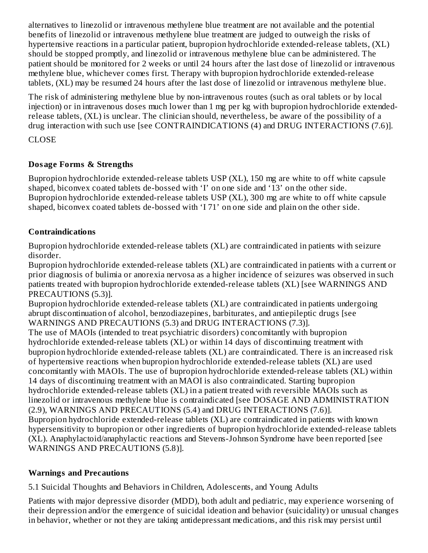alternatives to linezolid or intravenous methylene blue treatment are not available and the potential benefits of linezolid or intravenous methylene blue treatment are judged to outweigh the risks of hypertensive reactions in a particular patient, bupropion hydrochloride extended-release tablets, (XL) should be stopped promptly, and linezolid or intravenous methylene blue can be administered. The patient should be monitored for 2 weeks or until 24 hours after the last dose of linezolid or intravenous methylene blue, whichever comes first. Therapy with bupropion hydrochloride extended-release tablets, (XL) may be resumed 24 hours after the last dose of linezolid or intravenous methylene blue.

The risk of administering methylene blue by non-intravenous routes (such as oral tablets or by local injection) or in intravenous doses much lower than 1 mg per kg with bupropion hydrochloride extendedrelease tablets, (XL) is unclear. The clinician should, nevertheless, be aware of the possibility of a drug interaction with such use [see CONTRAINDICATIONS (4) and DRUG INTERACTIONS (7.6)].

CLOSE

## **Dosage Forms & Strengths**

Bupropion hydrochloride extended-release tablets USP (XL), 150 mg are white to off white capsule shaped, biconvex coated tablets de-bossed with 'I' on one side and '13' on the other side. Bupropion hydrochloride extended-release tablets USP (XL), 300 mg are white to off white capsule shaped, biconvex coated tablets de-bossed with 'I 71' on one side and plain on the other side.

## **Contraindications**

Bupropion hydrochloride extended-release tablets (XL) are contraindicated in patients with seizure disorder.

Bupropion hydrochloride extended-release tablets (XL) are contraindicated in patients with a current or prior diagnosis of bulimia or anorexia nervosa as a higher incidence of seizures was observed in such patients treated with bupropion hydrochloride extended-release tablets (XL) [see WARNINGS AND PRECAUTIONS (5.3)].

Bupropion hydrochloride extended-release tablets (XL) are contraindicated in patients undergoing abrupt discontinuation of alcohol, benzodiazepines, barbiturates, and antiepileptic drugs [see WARNINGS AND PRECAUTIONS (5.3) and DRUG INTERACTIONS (7.3)].

The use of MAOIs (intended to treat psychiatric disorders) concomitantly with bupropion hydrochloride extended-release tablets (XL) or within 14 days of discontinuing treatment with bupropion hydrochloride extended-release tablets (XL) are contraindicated. There is an increased risk of hypertensive reactions when bupropion hydrochloride extended-release tablets (XL) are used concomitantly with MAOIs. The use of bupropion hydrochloride extended-release tablets (XL) within 14 days of discontinuing treatment with an MAOI is also contraindicated. Starting bupropion hydrochloride extended-release tablets (XL) in a patient treated with reversible MAOIs such as linezolid or intravenous methylene blue is contraindicated [see DOSAGE AND ADMINISTRATION (2.9), WARNINGS AND PRECAUTIONS (5.4) and DRUG INTERACTIONS (7.6)]. Bupropion hydrochloride extended-release tablets (XL) are contraindicated in patients with known hypersensitivity to bupropion or other ingredients of bupropion hydrochloride extended-release tablets (XL). Anaphylactoid/anaphylactic reactions and Stevens-Johnson Syndrome have been reported [see WARNINGS AND PRECAUTIONS (5.8)].

## **Warnings and Precautions**

5.1 Suicidal Thoughts and Behaviors in Children, Adolescents, and Young Adults

Patients with major depressive disorder (MDD), both adult and pediatric, may experience worsening of their depression and/or the emergence of suicidal ideation and behavior (suicidality) or unusual changes in behavior, whether or not they are taking antidepressant medications, and this risk may persist until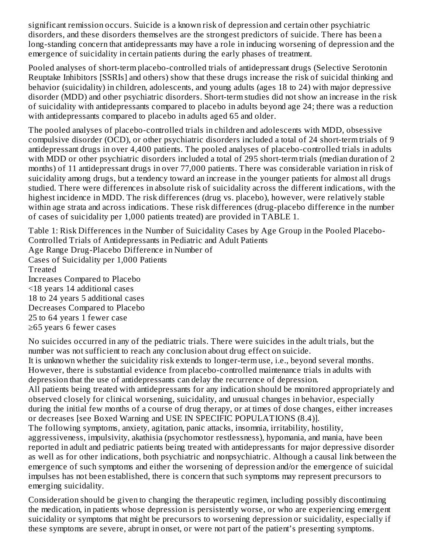significant remission occurs. Suicide is a known risk of depression and certain other psychiatric disorders, and these disorders themselves are the strongest predictors of suicide. There has been a long-standing concern that antidepressants may have a role in inducing worsening of depression and the emergence of suicidality in certain patients during the early phases of treatment.

Pooled analyses of short-term placebo-controlled trials of antidepressant drugs (Selective Serotonin Reuptake Inhibitors [SSRIs] and others) show that these drugs increase the risk of suicidal thinking and behavior (suicidality) in children, adolescents, and young adults (ages 18 to 24) with major depressive disorder (MDD) and other psychiatric disorders. Short-term studies did not show an increase in the risk of suicidality with antidepressants compared to placebo in adults beyond age 24; there was a reduction with antidepressants compared to placebo in adults aged 65 and older.

The pooled analyses of placebo-controlled trials in children and adolescents with MDD, obsessive compulsive disorder (OCD), or other psychiatric disorders included a total of 24 short-term trials of 9 antidepressant drugs in over 4,400 patients. The pooled analyses of placebo-controlled trials in adults with MDD or other psychiatric disorders included a total of 295 short-term trials (median duration of 2 months) of 11 antidepressant drugs in over 77,000 patients. There was considerable variation in risk of suicidality among drugs, but a tendency toward an increase in the younger patients for almost all drugs studied. There were differences in absolute risk of suicidality across the different indications, with the highest incidence in MDD. The risk differences (drug vs. placebo), however, were relatively stable within age strata and across indications. These risk differences (drug-placebo difference in the number of cases of suicidality per 1,000 patients treated) are provided in TABLE 1.

Table 1: Risk Differences in the Number of Suicidality Cases by Age Group in the Pooled Placebo-Controlled Trials of Antidepressants in Pediatric and Adult Patients Age Range Drug-Placebo Difference in Number of Cases of Suicidality per 1,000 Patients Treated Increases Compared to Placebo <18 years 14 additional cases 18 to 24 years 5 additional cases Decreases Compared to Placebo 25 to 64 years 1 fewer case ≥65 years 6 fewer cases

No suicides occurred in any of the pediatric trials. There were suicides in the adult trials, but the number was not sufficient to reach any conclusion about drug effect on suicide. It is unknown whether the suicidality risk extends to longer-term use, i.e., beyond several months. However, there is substantial evidence from placebo-controlled maintenance trials in adults with depression that the use of antidepressants can delay the recurrence of depression. All patients being treated with antidepressants for any indication should be monitored appropriately and observed closely for clinical worsening, suicidality, and unusual changes in behavior, especially during the initial few months of a course of drug therapy, or at times of dose changes, either increases or decreases [see Boxed Warning and USE IN SPECIFIC POPULATIONS (8.4)]. The following symptoms, anxiety, agitation, panic attacks, insomnia, irritability, hostility, aggressiveness, impulsivity, akathisia (psychomotor restlessness), hypomania, and mania, have been reported in adult and pediatric patients being treated with antidepressants for major depressive disorder as well as for other indications, both psychiatric and nonpsychiatric. Although a causal link between the emergence of such symptoms and either the worsening of depression and/or the emergence of suicidal impulses has not been established, there is concern that such symptoms may represent precursors to emerging suicidality.

Consideration should be given to changing the therapeutic regimen, including possibly discontinuing the medication, in patients whose depression is persistently worse, or who are experiencing emergent suicidality or symptoms that might be precursors to worsening depression or suicidality, especially if these symptoms are severe, abrupt in onset, or were not part of the patient's presenting symptoms.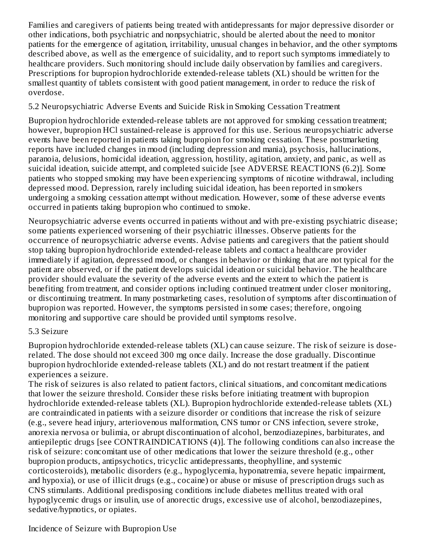Families and caregivers of patients being treated with antidepressants for major depressive disorder or other indications, both psychiatric and nonpsychiatric, should be alerted about the need to monitor patients for the emergence of agitation, irritability, unusual changes in behavior, and the other symptoms described above, as well as the emergence of suicidality, and to report such symptoms immediately to healthcare providers. Such monitoring should include daily observation by families and caregivers. Prescriptions for bupropion hydrochloride extended-release tablets (XL) should be written for the smallest quantity of tablets consistent with good patient management, in order to reduce the risk of overdose.

### 5.2 Neuropsychiatric Adverse Events and Suicide Risk in Smoking Cessation Treatment

Bupropion hydrochloride extended-release tablets are not approved for smoking cessation treatment; however, bupropion HCl sustained-release is approved for this use. Serious neuropsychiatric adverse events have been reported in patients taking bupropion for smoking cessation. These postmarketing reports have included changes in mood (including depression and mania), psychosis, hallucinations, paranoia, delusions, homicidal ideation, aggression, hostility, agitation, anxiety, and panic, as well as suicidal ideation, suicide attempt, and completed suicide [see ADVERSE REACTIONS (6.2)]. Some patients who stopped smoking may have been experiencing symptoms of nicotine withdrawal, including depressed mood. Depression, rarely including suicidal ideation, has been reported in smokers undergoing a smoking cessation attempt without medication. However, some of these adverse events occurred in patients taking bupropion who continued to smoke.

Neuropsychiatric adverse events occurred in patients without and with pre-existing psychiatric disease; some patients experienced worsening of their psychiatric illnesses. Observe patients for the occurrence of neuropsychiatric adverse events. Advise patients and caregivers that the patient should stop taking bupropion hydrochloride extended-release tablets and contact a healthcare provider immediately if agitation, depressed mood, or changes in behavior or thinking that are not typical for the patient are observed, or if the patient develops suicidal ideation or suicidal behavior. The healthcare provider should evaluate the severity of the adverse events and the extent to which the patient is benefiting from treatment, and consider options including continued treatment under closer monitoring, or discontinuing treatment. In many postmarketing cases, resolution of symptoms after discontinuation of bupropion was reported. However, the symptoms persisted in some cases; therefore, ongoing monitoring and supportive care should be provided until symptoms resolve.

#### 5.3 Seizure

Bupropion hydrochloride extended-release tablets (XL) can cause seizure. The risk of seizure is doserelated. The dose should not exceed 300 mg once daily. Increase the dose gradually. Discontinue bupropion hydrochloride extended-release tablets (XL) and do not restart treatment if the patient experiences a seizure.

The risk of seizures is also related to patient factors, clinical situations, and concomitant medications that lower the seizure threshold. Consider these risks before initiating treatment with bupropion hydrochloride extended-release tablets (XL). Bupropion hydrochloride extended-release tablets (XL) are contraindicated in patients with a seizure disorder or conditions that increase the risk of seizure (e.g., severe head injury, arteriovenous malformation, CNS tumor or CNS infection, severe stroke, anorexia nervosa or bulimia, or abrupt discontinuation of alcohol, benzodiazepines, barbiturates, and antiepileptic drugs [see CONTRAINDICATIONS (4)]. The following conditions can also increase the risk of seizure: concomitant use of other medications that lower the seizure threshold (e.g., other bupropion products, antipsychotics, tricyclic antidepressants, theophylline, and systemic corticosteroids), metabolic disorders (e.g., hypoglycemia, hyponatremia, severe hepatic impairment, and hypoxia), or use of illicit drugs (e.g., cocaine) or abuse or misuse of prescription drugs such as CNS stimulants. Additional predisposing conditions include diabetes mellitus treated with oral hypoglycemic drugs or insulin, use of anorectic drugs, excessive use of alcohol, benzodiazepines, sedative/hypnotics, or opiates.

Incidence of Seizure with Bupropion Use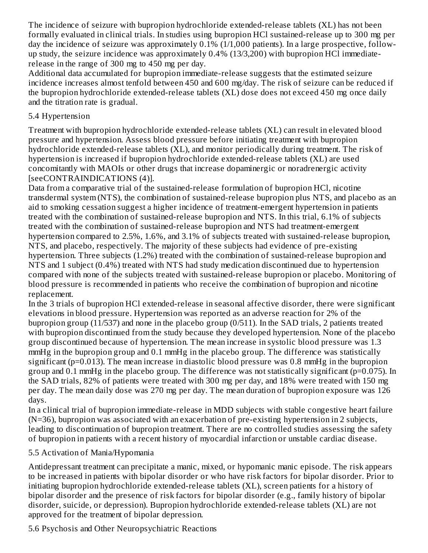The incidence of seizure with bupropion hydrochloride extended-release tablets (XL) has not been formally evaluated in clinical trials. In studies using bupropion HCl sustained-release up to 300 mg per day the incidence of seizure was approximately 0.1% (1/1,000 patients). In a large prospective, followup study, the seizure incidence was approximately 0.4% (13/3,200) with bupropion HCl immediaterelease in the range of 300 mg to 450 mg per day.

Additional data accumulated for bupropion immediate-release suggests that the estimated seizure incidence increases almost tenfold between 450 and 600 mg/day. The risk of seizure can be reduced if the bupropion hydrochloride extended-release tablets (XL) dose does not exceed 450 mg once daily and the titration rate is gradual.

### 5.4 Hypertension

Treatment with bupropion hydrochloride extended-release tablets (XL) can result in elevated blood pressure and hypertension. Assess blood pressure before initiating treatment with bupropion hydrochloride extended-release tablets (XL), and monitor periodically during treatment. The risk of hypertension is increased if bupropion hydrochloride extended-release tablets (XL) are used concomitantly with MAOIs or other drugs that increase dopaminergic or noradrenergic activity [seeCONTRAINDICATIONS (4)].

Data from a comparative trial of the sustained-release formulation of bupropion HCl, nicotine transdermal system (NTS), the combination of sustained-release bupropion plus NTS, and placebo as an aid to smoking cessation suggest a higher incidence of treatment-emergent hypertension in patients treated with the combination of sustained-release bupropion and NTS. In this trial, 6.1% of subjects treated with the combination of sustained-release bupropion and NTS had treatment-emergent hypertension compared to 2.5%, 1.6%, and 3.1% of subjects treated with sustained-release bupropion, NTS, and placebo, respectively. The majority of these subjects had evidence of pre-existing hypertension. Three subjects (1.2%) treated with the combination of sustained-release bupropion and NTS and 1 subject (0.4%) treated with NTS had study medication discontinued due to hypertension compared with none of the subjects treated with sustained-release bupropion or placebo. Monitoring of blood pressure is recommended in patients who receive the combination of bupropion and nicotine replacement.

In the 3 trials of bupropion HCl extended-release in seasonal affective disorder, there were significant elevations in blood pressure. Hypertension was reported as an adverse reaction for 2% of the bupropion group (11/537) and none in the placebo group (0/511). In the SAD trials, 2 patients treated with bupropion discontinued from the study because they developed hypertension. None of the placebo group discontinued because of hypertension. The mean increase in systolic blood pressure was 1.3 mmHg in the bupropion group and 0.1 mmHg in the placebo group. The difference was statistically significant (p=0.013). The mean increase in diastolic blood pressure was 0.8 mmHg in the bupropion group and 0.1 mmHg in the placebo group. The difference was not statistically significant (p=0.075). In the SAD trials, 82% of patients were treated with 300 mg per day, and 18% were treated with 150 mg per day. The mean daily dose was 270 mg per day. The mean duration of bupropion exposure was 126 days.

In a clinical trial of bupropion immediate-release in MDD subjects with stable congestive heart failure (N=36), bupropion was associated with an exacerbation of pre-existing hypertension in 2 subjects, leading to discontinuation of bupropion treatment. There are no controlled studies assessing the safety of bupropion in patients with a recent history of myocardial infarction or unstable cardiac disease.

## 5.5 Activation of Mania/Hypomania

Antidepressant treatment can precipitate a manic, mixed, or hypomanic manic episode. The risk appears to be increased in patients with bipolar disorder or who have risk factors for bipolar disorder. Prior to initiating bupropion hydrochloride extended-release tablets (XL), screen patients for a history of bipolar disorder and the presence of risk factors for bipolar disorder (e.g., family history of bipolar disorder, suicide, or depression). Bupropion hydrochloride extended-release tablets (XL) are not approved for the treatment of bipolar depression.

5.6 Psychosis and Other Neuropsychiatric Reactions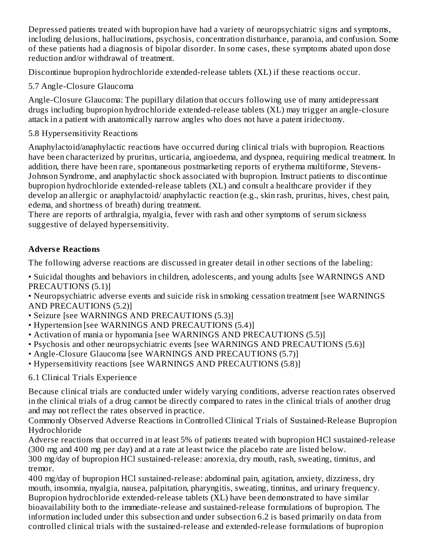Depressed patients treated with bupropion have had a variety of neuropsychiatric signs and symptoms, including delusions, hallucinations, psychosis, concentration disturbance, paranoia, and confusion. Some of these patients had a diagnosis of bipolar disorder. In some cases, these symptoms abated upon dose reduction and/or withdrawal of treatment.

Discontinue bupropion hydrochloride extended-release tablets (XL) if these reactions occur.

## 5.7 Angle-Closure Glaucoma

Angle-Closure Glaucoma: The pupillary dilation that occurs following use of many antidepressant drugs including bupropion hydrochloride extended-release tablets (XL) may trigger an angle-closure attack in a patient with anatomically narrow angles who does not have a patent iridectomy.

## 5.8 Hypersensitivity Reactions

Anaphylactoid/anaphylactic reactions have occurred during clinical trials with bupropion. Reactions have been characterized by pruritus, urticaria, angioedema, and dyspnea, requiring medical treatment. In addition, there have been rare, spontaneous postmarketing reports of erythema multiforme, Stevens-Johnson Syndrome, and anaphylactic shock associated with bupropion. Instruct patients to discontinue bupropion hydrochloride extended-release tablets (XL) and consult a healthcare provider if they develop an allergic or anaphylactoid/ anaphylactic reaction (e.g., skin rash, pruritus, hives, chest pain, edema, and shortness of breath) during treatment.

There are reports of arthralgia, myalgia, fever with rash and other symptoms of serum sickness suggestive of delayed hypersensitivity.

## **Advers e Reactions**

The following adverse reactions are discussed in greater detail in other sections of the labeling:

• Suicidal thoughts and behaviors in children, adolescents, and young adults [see WARNINGS AND PRECAUTIONS (5.1)]

• Neuropsychiatric adverse events and suicide risk in smoking cessation treatment [see WARNINGS AND PRECAUTIONS (5.2)]

- Seizure [see WARNINGS AND PRECAUTIONS (5.3)]
- Hypertension [see WARNINGS AND PRECAUTIONS (5.4)]
- Activation of mania or hypomania [see WARNINGS AND PRECAUTIONS (5.5)]
- Psychosis and other neuropsychiatric events [see WARNINGS AND PRECAUTIONS (5.6)]
- Angle-Closure Glaucoma [see WARNINGS AND PRECAUTIONS (5.7)]
- Hypersensitivity reactions [see WARNINGS AND PRECAUTIONS (5.8)]

## 6.1 Clinical Trials Experience

Because clinical trials are conducted under widely varying conditions, adverse reaction rates observed in the clinical trials of a drug cannot be directly compared to rates in the clinical trials of another drug and may not reflect the rates observed in practice.

Commonly Observed Adverse Reactions in Controlled Clinical Trials of Sustained-Release Bupropion Hydrochloride

Adverse reactions that occurred in at least 5% of patients treated with bupropion HCl sustained-release (300 mg and 400 mg per day) and at a rate at least twice the placebo rate are listed below.

300 mg/day of bupropion HCl sustained-release: anorexia, dry mouth, rash, sweating, tinnitus, and tremor.

400 mg/day of bupropion HCl sustained-release: abdominal pain, agitation, anxiety, dizziness, dry mouth, insomnia, myalgia, nausea, palpitation, pharyngitis, sweating, tinnitus, and urinary frequency. Bupropion hydrochloride extended-release tablets (XL) have been demonstrated to have similar bioavailability both to the immediate-release and sustained-release formulations of bupropion. The information included under this subsection and under subsection 6.2 is based primarily on data from controlled clinical trials with the sustained-release and extended-release formulations of bupropion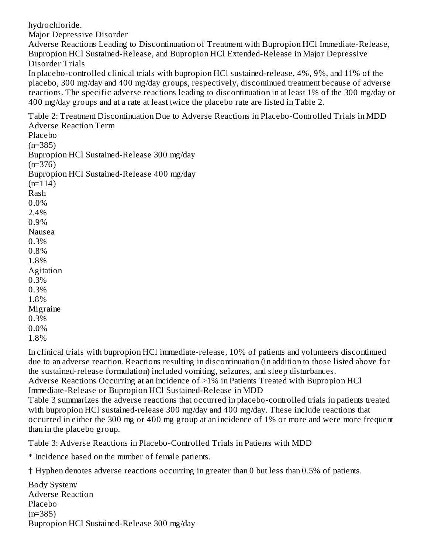hydrochloride.

Major Depressive Disorder

Adverse Reactions Leading to Discontinuation of Treatment with Bupropion HCl Immediate-Release, Bupropion HCl Sustained-Release, and Bupropion HCl Extended-Release in Major Depressive Disorder Trials

In placebo-controlled clinical trials with bupropion HCl sustained-release, 4%, 9%, and 11% of the placebo, 300 mg/day and 400 mg/day groups, respectively, discontinued treatment because of adverse reactions. The specific adverse reactions leading to discontinuation in at least 1% of the 300 mg/day or 400 mg/day groups and at a rate at least twice the placebo rate are listed in Table 2.

Table 2: Treatment Discontinuation Due to Adverse Reactions in Placebo-Controlled Trials in MDD Adverse Reaction Term

Placebo  $(n=385)$ Bupropion HCl Sustained-Release 300 mg/day  $(n=376)$ Bupropion HCl Sustained-Release 400 mg/day  $(n=114)$ Rash 0.0% 2.4% 0.9% Nausea 0.3% 0.8% 1.8% Agitation 0.3% 0.3% 1.8% Migraine 0.3%

0.0%

1.8%

In clinical trials with bupropion HCl immediate-release, 10% of patients and volunteers discontinued due to an adverse reaction. Reactions resulting in discontinuation (in addition to those listed above for the sustained-release formulation) included vomiting, seizures, and sleep disturbances. Adverse Reactions Occurring at an Incidence of >1% in Patients Treated with Bupropion HCl

Immediate-Release or Bupropion HCl Sustained-Release in MDD Table 3 summarizes the adverse reactions that occurred in placebo-controlled trials in patients treated with bupropion HCl sustained-release 300 mg/day and 400 mg/day. These include reactions that occurred in either the 300 mg or 400 mg group at an incidence of 1% or more and were more frequent than in the placebo group.

Table 3: Adverse Reactions in Placebo-Controlled Trials in Patients with MDD

\* Incidence based on the number of female patients.

† Hyphen denotes adverse reactions occurring in greater than 0 but less than 0.5% of patients.

Body System/ Adverse Reaction Placebo  $(n=385)$ Bupropion HCl Sustained-Release 300 mg/day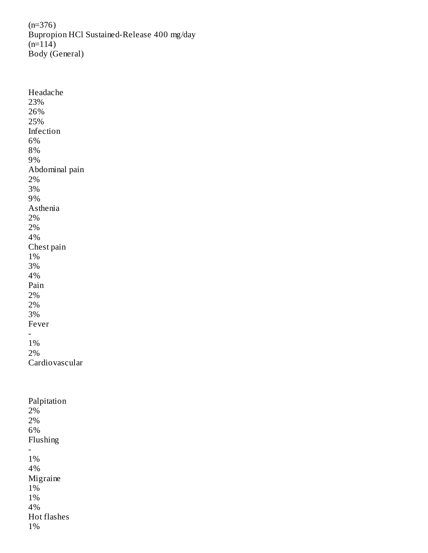$(n=376)$ Bupropion HCl Sustained-Release 400 mg/day  $(n=114)$ Body (General)

| Headache           |
|--------------------|
| 23%                |
| 26%                |
| 25%                |
| Infection          |
| 6%                 |
| 8%                 |
| 9%                 |
| Abdominal pain     |
| 2%                 |
| 3%                 |
| 9%                 |
| Asthenia           |
| 2%                 |
| 2%                 |
| 4%                 |
| Chest pain         |
| 1%                 |
| 3%                 |
| 4%                 |
| Pain               |
| 2%                 |
| 2%                 |
| 3%                 |
| Fever              |
|                    |
| 1%                 |
| 2%                 |
| Cardiovascular     |
|                    |
|                    |
|                    |
| Palpitation        |
| 2%                 |
| 2%                 |
| 6%                 |
| Flushing           |
|                    |
| 1%                 |
| 4%                 |
| Migraine           |
| 1%                 |
| 1%                 |
| 4%                 |
| <b>Hot flashes</b> |

1%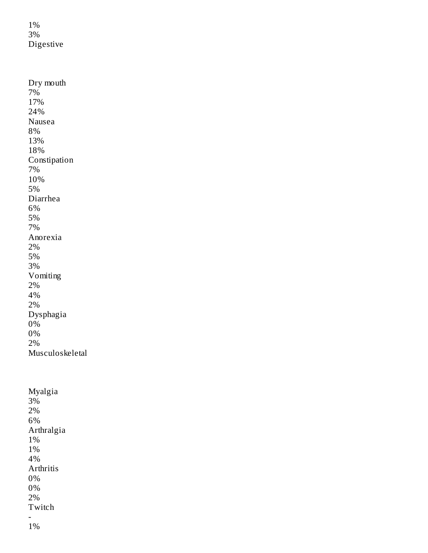1% 3% Digestive

Dry mouth 7% 17% 24% Nausea 8% 13% 18% Constipation 7% 10% 5% Diarrhea 6% 5% 7% Anorexia 2% 5% 3% Vomiting 2% 4% 2% Dysphagia  $0\%$ 0% 2% Musculoskeletal

Myalgia 3% 2% 6% Arthralgia 1% 1% 4% Arthritis 0% 0% 2% Twitch - 1%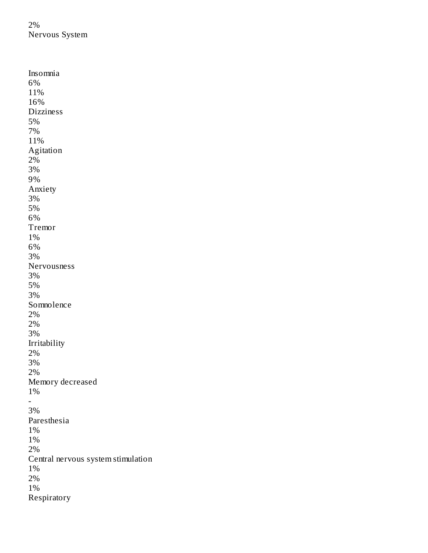2% Nervous System

| Insomnia                           |
|------------------------------------|
| 6%                                 |
| 11%                                |
| 16%                                |
| <b>Dizziness</b>                   |
| 5%                                 |
| 7%                                 |
| 11%                                |
| Agitation                          |
| 2%                                 |
| 3%                                 |
| 9%                                 |
| Anxiety                            |
| 3%                                 |
| 5%                                 |
| 6%                                 |
| Tremor                             |
| 1%                                 |
| 6%                                 |
| 3%                                 |
| Nervousness                        |
| 3%                                 |
| 5%                                 |
| 3%                                 |
| Somnolence                         |
| 2%                                 |
| 2%                                 |
| 3%                                 |
| Irritability                       |
| 2%                                 |
| 3%                                 |
| 2%                                 |
| Memory decreased                   |
| 1%                                 |
|                                    |
| 3%                                 |
| Paresthesia                        |
| 1%                                 |
| 1%                                 |
| 2%                                 |
| Central nervous system stimulation |
| 1%                                 |
| 2%                                 |
| 1%                                 |
| Respiratory                        |
|                                    |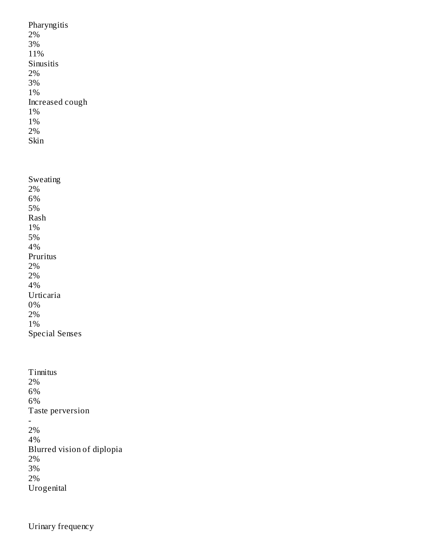Pharyngitis 2% 3% 11% Sinusitis 2% 3% 1% Increased cough 1% 1% 2% Skin

Sweating 2% 6% 5% Rash 1% 5% 4% Pruritus 2% 2% 4% Urticaria 0% 2% 1% Special Senses

Tinnitus 2% 6% 6% Taste perversion - 2% 4% Blurred vision of diplopia 2% 3% 2% Urogenital

Urinary frequency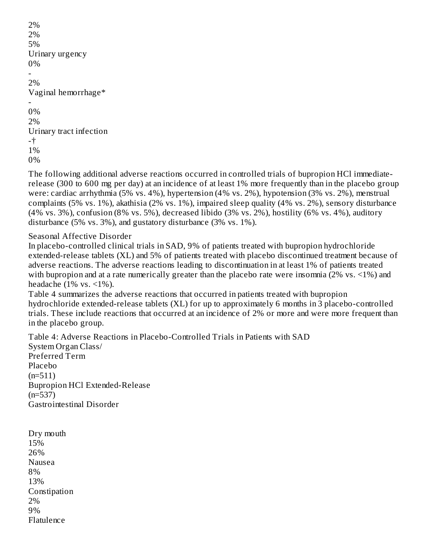```
2%
2%
5%
Urinary urgency
0%
-
2%
Vaginal hemorrhage*
-
0%
2%
Urinary tract infection
-†
1%
0%
```
The following additional adverse reactions occurred in controlled trials of bupropion HCl immediaterelease (300 to 600 mg per day) at an incidence of at least 1% more frequently than in the placebo group were: cardiac arrhythmia (5% vs. 4%), hypertension (4% vs. 2%), hypotension (3% vs. 2%), menstrual complaints (5% vs. 1%), akathisia (2% vs. 1%), impaired sleep quality (4% vs. 2%), sensory disturbance (4% vs. 3%), confusion (8% vs. 5%), decreased libido (3% vs. 2%), hostility (6% vs. 4%), auditory disturbance (5% vs. 3%), and gustatory disturbance (3% vs. 1%).

Seasonal Affective Disorder

In placebo-controlled clinical trials in SAD, 9% of patients treated with bupropion hydrochloride extended-release tablets (XL) and 5% of patients treated with placebo discontinued treatment because of adverse reactions. The adverse reactions leading to discontinuation in at least 1% of patients treated with bupropion and at a rate numerically greater than the placebo rate were insomnia (2% vs. <1%) and headache (1% vs. <1%).

Table 4 summarizes the adverse reactions that occurred in patients treated with bupropion hydrochloride extended-release tablets (XL) for up to approximately 6 months in 3 placebo-controlled trials. These include reactions that occurred at an incidence of 2% or more and were more frequent than in the placebo group.

Table 4: Adverse Reactions in Placebo-Controlled Trials in Patients with SAD System Organ Class/ Preferred Term Placebo  $(n=511)$ Bupropion HCl Extended-Release (n=537) Gastrointestinal Disorder

Dry mouth 15% 26% Nausea 8% 13% Constipation 2% 9% Flatulence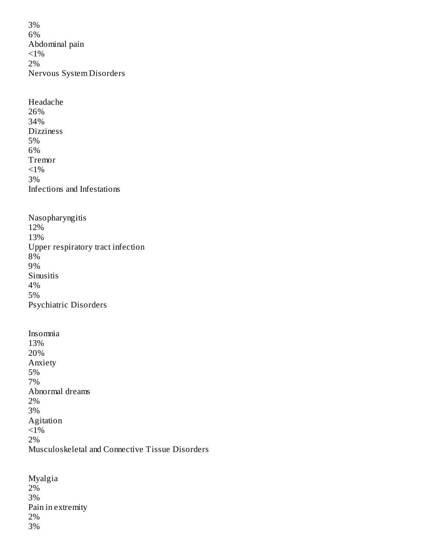3% 6% Abdominal pain  $1\%$ 2% Nervous System Disorders

Headache 26% 34% Dizziness 5% 6% Tremor  $1\%$ 3% Infections and Infestations

Nasopharyngitis 12% 13% Upper respiratory tract infection 8% 9% Sinusitis 4% 5% Psychiatric Disorders

Insomnia 13% 20% Anxiety 5% 7% Abnormal dreams 2% 3% Agitation  $<1\%$ 2% Musculoskeletal and Connective Tissue Disorders

Myalgia 2% 3% Pain in extremity 2% 3%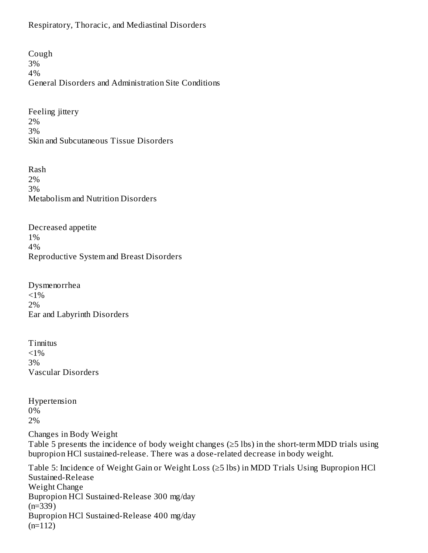Respiratory, Thoracic, and Mediastinal Disorders

Cough 3% 4% General Disorders and Administration Site Conditions

Feeling jittery 2% 3% Skin and Subcutaneous Tissue Disorders

Rash 2% 3% Metabolism and Nutrition Disorders

Decreased appetite 1% 4% Reproductive System and Breast Disorders

Dysmenorrhea  $1\%$ 2% Ear and Labyrinth Disorders

Tinnitus  $<1\%$ 3% Vascular Disorders

Hypertension 0% 2%

Changes in Body Weight

Table 5 presents the incidence of body weight changes ( $\ge$ 5 lbs) in the short-term MDD trials using bupropion HCl sustained-release. There was a dose-related decrease in body weight.

Table 5: Incidence of Weight Gain or Weight Loss (≥5 lbs) in MDD Trials Using Bupropion HCl Sustained-Release Weight Change Bupropion HCl Sustained-Release 300 mg/day (n=339) Bupropion HCl Sustained-Release 400 mg/day  $(n=112)$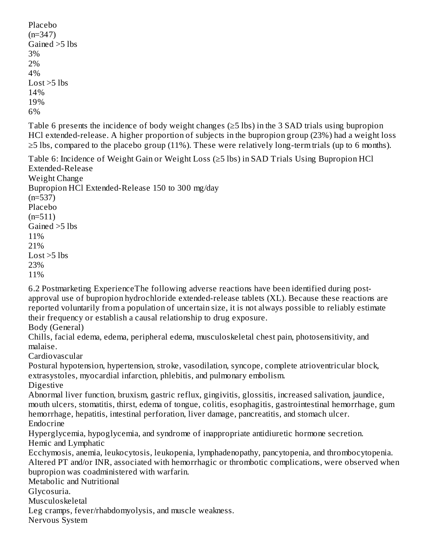```
Placebo
(n=347)Gained >5 lbs
3%
2%
4%
Lost >5 lbs
14%
19%
6%
```
Table 6 presents the incidence of body weight changes (≥5 lbs) in the 3 SAD trials using bupropion HCl extended-release. A higher proportion of subjects in the bupropion group (23%) had a weight loss  $\geq$ 5 lbs, compared to the placebo group (11%). These were relatively long-term trials (up to 6 months).

Table 6: Incidence of Weight Gain or Weight Loss (≥5 lbs) in SAD Trials Using Bupropion HCl Extended-Release Weight Change Bupropion HCl Extended-Release 150 to 300 mg/day (n=537) Placebo  $(n=511)$ Gained >5 lbs 11% 21% Lost >5 lbs 23% 11%

6.2 Postmarketing ExperienceThe following adverse reactions have been identified during postapproval use of bupropion hydrochloride extended-release tablets (XL). Because these reactions are reported voluntarily from a population of uncertain size, it is not always possible to reliably estimate their frequency or establish a causal relationship to drug exposure.

Body (General)

Chills, facial edema, edema, peripheral edema, musculoskeletal chest pain, photosensitivity, and malaise.

Cardiovascular

Postural hypotension, hypertension, stroke, vasodilation, syncope, complete atrioventricular block, extrasystoles, myocardial infarction, phlebitis, and pulmonary embolism.

Digestive

Abnormal liver function, bruxism, gastric reflux, gingivitis, glossitis, increased salivation, jaundice, mouth ulcers, stomatitis, thirst, edema of tongue, colitis, esophagitis, gastrointestinal hemorrhage, gum hemorrhage, hepatitis, intestinal perforation, liver damage, pancreatitis, and stomach ulcer. Endocrine

Hyperglycemia, hypoglycemia, and syndrome of inappropriate antidiuretic hormone secretion. Hemic and Lymphatic

Ecchymosis, anemia, leukocytosis, leukopenia, lymphadenopathy, pancytopenia, and thrombocytopenia. Altered PT and/or INR, associated with hemorrhagic or thrombotic complications, were observed when bupropion was coadministered with warfarin.

Metabolic and Nutritional

Glycosuria.

Musculoskeletal

Leg cramps, fever/rhabdomyolysis, and muscle weakness.

Nervous System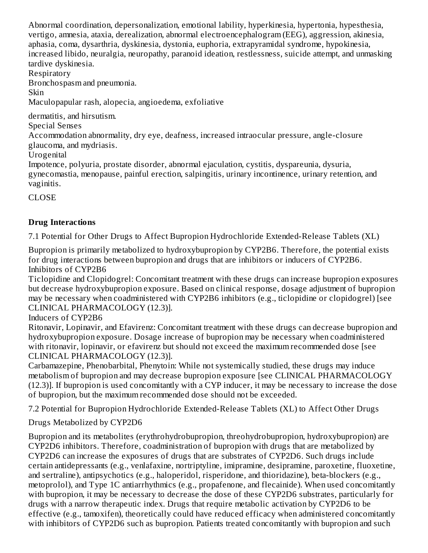Abnormal coordination, depersonalization, emotional lability, hyperkinesia, hypertonia, hypesthesia, vertigo, amnesia, ataxia, derealization, abnormal electroencephalogram (EEG), aggression, akinesia, aphasia, coma, dysarthria, dyskinesia, dystonia, euphoria, extrapyramidal syndrome, hypokinesia, increased libido, neuralgia, neuropathy, paranoid ideation, restlessness, suicide attempt, and unmasking tardive dyskinesia.

Respiratory

Bronchospasm and pneumonia.

Skin

Maculopapular rash, alopecia, angioedema, exfoliative

dermatitis, and hirsutism.

Special Senses

Accommodation abnormality, dry eye, deafness, increased intraocular pressure, angle-closure glaucoma, and mydriasis.

Urogenital

Impotence, polyuria, prostate disorder, abnormal ejaculation, cystitis, dyspareunia, dysuria, gynecomastia, menopause, painful erection, salpingitis, urinary incontinence, urinary retention, and vaginitis.

CLOSE

## **Drug Interactions**

7.1 Potential for Other Drugs to Affect Bupropion Hydrochloride Extended-Release Tablets (XL)

Bupropion is primarily metabolized to hydroxybupropion by CYP2B6. Therefore, the potential exists for drug interactions between bupropion and drugs that are inhibitors or inducers of CYP2B6. Inhibitors of CYP2B6

Ticlopidine and Clopidogrel: Concomitant treatment with these drugs can increase bupropion exposures but decrease hydroxybupropion exposure. Based on clinical response, dosage adjustment of bupropion may be necessary when coadministered with CYP2B6 inhibitors (e.g., ticlopidine or clopidogrel) [see CLINICAL PHARMACOLOGY (12.3)].

Inducers of CYP2B6

Ritonavir, Lopinavir, and Efavirenz: Concomitant treatment with these drugs can decrease bupropion and hydroxybupropion exposure. Dosage increase of bupropion may be necessary when coadministered with ritonavir, lopinavir, or efavirenz but should not exceed the maximum recommended dose [see CLINICAL PHARMACOLOGY (12.3)].

Carbamazepine, Phenobarbital, Phenytoin: While not systemically studied, these drugs may induce metabolism of bupropion and may decrease bupropion exposure [see CLINICAL PHARMACOLOGY (12.3)]. If bupropion is used concomitantly with a CYP inducer, it may be necessary to increase the dose of bupropion, but the maximum recommended dose should not be exceeded.

7.2 Potential for Bupropion Hydrochloride Extended-Release Tablets (XL) to Affect Other Drugs

Drugs Metabolized by CYP2D6

Bupropion and its metabolites (erythrohydrobupropion, threohydrobupropion, hydroxybupropion) are CYP2D6 inhibitors. Therefore, coadministration of bupropion with drugs that are metabolized by CYP2D6 can increase the exposures of drugs that are substrates of CYP2D6. Such drugs include certain antidepressants (e.g., venlafaxine, nortriptyline, imipramine, desipramine, paroxetine, fluoxetine, and sertraline), antipsychotics (e.g., haloperidol, risperidone, and thioridazine), beta-blockers (e.g., metoprolol), and Type 1C antiarrhythmics (e.g., propafenone, and flecainide). When used concomitantly with bupropion, it may be necessary to decrease the dose of these CYP2D6 substrates, particularly for drugs with a narrow therapeutic index. Drugs that require metabolic activation by CYP2D6 to be effective (e.g., tamoxifen), theoretically could have reduced efficacy when administered concomitantly with inhibitors of CYP2D6 such as bupropion. Patients treated concomitantly with bupropion and such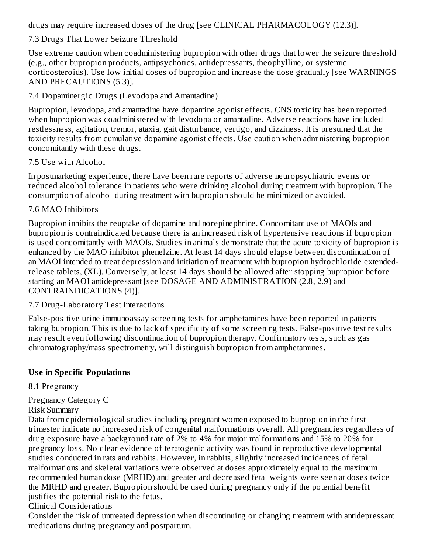drugs may require increased doses of the drug [see CLINICAL PHARMACOLOGY (12.3)].

### 7.3 Drugs That Lower Seizure Threshold

Use extreme caution when coadministering bupropion with other drugs that lower the seizure threshold (e.g., other bupropion products, antipsychotics, antidepressants, theophylline, or systemic corticosteroids). Use low initial doses of bupropion and increase the dose gradually [see WARNINGS AND PRECAUTIONS (5.3)].

7.4 Dopaminergic Drugs (Levodopa and Amantadine)

Bupropion, levodopa, and amantadine have dopamine agonist effects. CNS toxicity has been reported when bupropion was coadministered with levodopa or amantadine. Adverse reactions have included restlessness, agitation, tremor, ataxia, gait disturbance, vertigo, and dizziness. It is presumed that the toxicity results from cumulative dopamine agonist effects. Use caution when administering bupropion concomitantly with these drugs.

### 7.5 Use with Alcohol

In postmarketing experience, there have been rare reports of adverse neuropsychiatric events or reduced alcohol tolerance in patients who were drinking alcohol during treatment with bupropion. The consumption of alcohol during treatment with bupropion should be minimized or avoided.

#### 7.6 MAO Inhibitors

Bupropion inhibits the reuptake of dopamine and norepinephrine. Concomitant use of MAOIs and bupropion is contraindicated because there is an increased risk of hypertensive reactions if bupropion is used concomitantly with MAOIs. Studies in animals demonstrate that the acute toxicity of bupropion is enhanced by the MAO inhibitor phenelzine. At least 14 days should elapse between discontinuation of an MAOI intended to treat depression and initiation of treatment with bupropion hydrochloride extendedrelease tablets, (XL). Conversely, at least 14 days should be allowed after stopping bupropion before starting an MAOI antidepressant [see DOSAGE AND ADMINISTRATION (2.8, 2.9) and CONTRAINDICATIONS (4)].

### 7.7 Drug-Laboratory Test Interactions

False-positive urine immunoassay screening tests for amphetamines have been reported in patients taking bupropion. This is due to lack of specificity of some screening tests. False-positive test results may result even following discontinuation of bupropion therapy. Confirmatory tests, such as gas chromatography/mass spectrometry, will distinguish bupropion from amphetamines.

### **Us e in Specific Populations**

8.1 Pregnancy

Pregnancy Category C

Risk Summary

Data from epidemiological studies including pregnant women exposed to bupropion in the first trimester indicate no increased risk of congenital malformations overall. All pregnancies regardless of drug exposure have a background rate of 2% to 4% for major malformations and 15% to 20% for pregnancy loss. No clear evidence of teratogenic activity was found in reproductive developmental studies conducted in rats and rabbits. However, in rabbits, slightly increased incidences of fetal malformations and skeletal variations were observed at doses approximately equal to the maximum recommended human dose (MRHD) and greater and decreased fetal weights were seen at doses twice the MRHD and greater. Bupropion should be used during pregnancy only if the potential benefit justifies the potential risk to the fetus.

Clinical Considerations

Consider the risk of untreated depression when discontinuing or changing treatment with antidepressant medications during pregnancy and postpartum.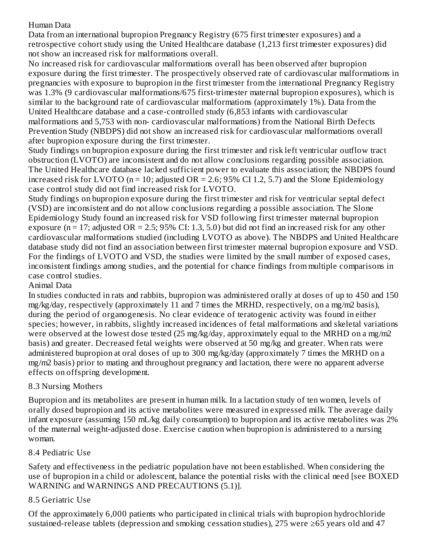### Human Data

Data from an international bupropion Pregnancy Registry (675 first trimester exposures) and a retrospective cohort study using the United Healthcare database (1,213 first trimester exposures) did not show an increased risk for malformations overall.

No increased risk for cardiovascular malformations overall has been observed after bupropion exposure during the first trimester. The prospectively observed rate of cardiovascular malformations in pregnancies with exposure to bupropion in the first trimester from the international Pregnancy Registry was 1.3% (9 cardiovascular malformations/675 first-trimester maternal bupropion exposures), which is similar to the background rate of cardiovascular malformations (approximately 1%). Data from the United Healthcare database and a case-controlled study (6,853 infants with cardiovascular malformations and 5,753 with non- cardiovascular malformations) from the National Birth Defects Prevention Study (NBDPS) did not show an increased risk for cardiovascular malformations overall after bupropion exposure during the first trimester.

Study findings on bupropion exposure during the first trimester and risk left ventricular outflow tract obstruction (LVOTO) are inconsistent and do not allow conclusions regarding possible association. The United Healthcare database lacked sufficient power to evaluate this association; the NBDPS found increased risk for LVOTO ( $n = 10$ ; adjusted OR = 2.6; 95% CI 1.2, 5.7) and the Slone Epidemiology case control study did not find increased risk for LVOTO.

Study findings on bupropion exposure during the first trimester and risk for ventricular septal defect (VSD) are inconsistent and do not allow conclusions regarding a possible association. The Slone Epidemiology Study found an increased risk for VSD following first trimester maternal bupropion exposure ( $n = 17$ ; adjusted OR = 2.5; 95% CI: 1.3, 5.0) but did not find an increased risk for any other cardiovascular malformations studied (including LVOTO as above). The NBDPS and United Healthcare database study did not find an association between first trimester maternal bupropion exposure and VSD. For the findings of LVOTO and VSD, the studies were limited by the small number of exposed cases, inconsistent findings among studies, and the potential for chance findings from multiple comparisons in case control studies.

#### Animal Data

In studies conducted in rats and rabbits, bupropion was administered orally at doses of up to 450 and 150 mg/kg/day, respectively (approximately 11 and 7 times the MRHD, respectively, on a mg/m2 basis), during the period of organogenesis. No clear evidence of teratogenic activity was found in either species; however, in rabbits, slightly increased incidences of fetal malformations and skeletal variations were observed at the lowest dose tested (25 mg/kg/day, approximately equal to the MRHD on a mg/m2 basis) and greater. Decreased fetal weights were observed at 50 mg/kg and greater. When rats were administered bupropion at oral doses of up to 300 mg/kg/day (approximately 7 times the MRHD on a mg/m2 basis) prior to mating and throughout pregnancy and lactation, there were no apparent adverse effects on offspring development.

### 8.3 Nursing Mothers

Bupropion and its metabolites are present in human milk. In a lactation study of ten women, levels of orally dosed bupropion and its active metabolites were measured in expressed milk. The average daily infant exposure (assuming 150 mL/kg daily consumption) to bupropion and its active metabolites was 2% of the maternal weight-adjusted dose. Exercise caution when bupropion is administered to a nursing woman.

### 8.4 Pediatric Use

Safety and effectiveness in the pediatric population have not been established. When considering the use of bupropion in a child or adolescent, balance the potential risks with the clinical need [see BOXED WARNING and WARNINGS AND PRECAUTIONS (5.1)].

### 8.5 Geriatric Use

Of the approximately 6,000 patients who participated in clinical trials with bupropion hydrochloride sustained-release tablets (depression and smoking cessation studies), 275 were ≥65 years old and 47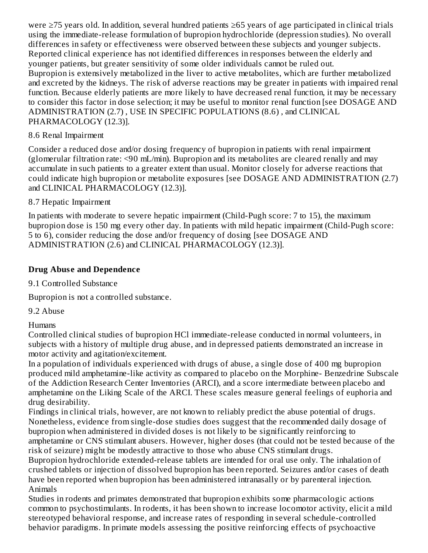were ≥75 years old. In addition, several hundred patients ≥65 years of age participated in clinical trials using the immediate-release formulation of bupropion hydrochloride (depression studies). No overall differences in safety or effectiveness were observed between these subjects and younger subjects. Reported clinical experience has not identified differences in responses between the elderly and younger patients, but greater sensitivity of some older individuals cannot be ruled out. Bupropion is extensively metabolized in the liver to active metabolites, which are further metabolized and excreted by the kidneys. The risk of adverse reactions may be greater in patients with impaired renal function. Because elderly patients are more likely to have decreased renal function, it may be necessary to consider this factor in dose selection; it may be useful to monitor renal function [see DOSAGE AND ADMINISTRATION (2.7) , USE IN SPECIFIC POPULATIONS (8.6) , and CLINICAL PHARMACOLOGY (12.3)].

### 8.6 Renal Impairment

Consider a reduced dose and/or dosing frequency of bupropion in patients with renal impairment (glomerular filtration rate: <90 mL/min). Bupropion and its metabolites are cleared renally and may accumulate in such patients to a greater extent than usual. Monitor closely for adverse reactions that could indicate high bupropion or metabolite exposures [see DOSAGE AND ADMINISTRATION (2.7) and CLINICAL PHARMACOLOGY (12.3)].

### 8.7 Hepatic Impairment

In patients with moderate to severe hepatic impairment (Child-Pugh score: 7 to 15), the maximum bupropion dose is 150 mg every other day. In patients with mild hepatic impairment (Child-Pugh score: 5 to 6), consider reducing the dose and/or frequency of dosing [see DOSAGE AND ADMINISTRATION (2.6) and CLINICAL PHARMACOLOGY (12.3)].

### **Drug Abuse** and **Dependence**

9.1 Controlled Substance

Bupropion is not a controlled substance.

9.2 Abuse

### Humans

Controlled clinical studies of bupropion HCl immediate-release conducted in normal volunteers, in subjects with a history of multiple drug abuse, and in depressed patients demonstrated an increase in motor activity and agitation/excitement.

In a population of individuals experienced with drugs of abuse, a single dose of 400 mg bupropion produced mild amphetamine-like activity as compared to placebo on the Morphine- Benzedrine Subscale of the Addiction Research Center Inventories (ARCI), and a score intermediate between placebo and amphetamine on the Liking Scale of the ARCI. These scales measure general feelings of euphoria and drug desirability.

Findings in clinical trials, however, are not known to reliably predict the abuse potential of drugs. Nonetheless, evidence from single-dose studies does suggest that the recommended daily dosage of bupropion when administered in divided doses is not likely to be significantly reinforcing to amphetamine or CNS stimulant abusers. However, higher doses (that could not be tested because of the risk of seizure) might be modestly attractive to those who abuse CNS stimulant drugs.

Bupropion hydrochloride extended-release tablets are intended for oral use only. The inhalation of crushed tablets or injection of dissolved bupropion has been reported. Seizures and/or cases of death have been reported when bupropion has been administered intranasally or by parenteral injection. Animals

Studies in rodents and primates demonstrated that bupropion exhibits some pharmacologic actions common to psychostimulants. In rodents, it has been shown to increase locomotor activity, elicit a mild stereotyped behavioral response, and increase rates of responding in several schedule-controlled behavior paradigms. In primate models assessing the positive reinforcing effects of psychoactive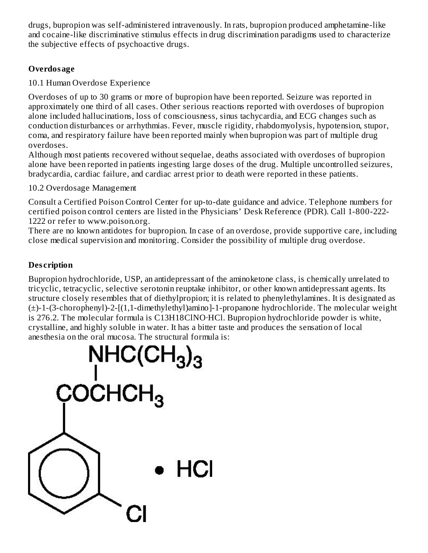drugs, bupropion was self-administered intravenously. In rats, bupropion produced amphetamine-like and cocaine-like discriminative stimulus effects in drug discrimination paradigms used to characterize the subjective effects of psychoactive drugs.

## **Overdosage**

10.1 Human Overdose Experience

Overdoses of up to 30 grams or more of bupropion have been reported. Seizure was reported in approximately one third of all cases. Other serious reactions reported with overdoses of bupropion alone included hallucinations, loss of consciousness, sinus tachycardia, and ECG changes such as conduction disturbances or arrhythmias. Fever, muscle rigidity, rhabdomyolysis, hypotension, stupor, coma, and respiratory failure have been reported mainly when bupropion was part of multiple drug overdoses.

Although most patients recovered without sequelae, deaths associated with overdoses of bupropion alone have been reported in patients ingesting large doses of the drug. Multiple uncontrolled seizures, bradycardia, cardiac failure, and cardiac arrest prior to death were reported in these patients.

10.2 Overdosage Management

Consult a Certified Poison Control Center for up-to-date guidance and advice. Telephone numbers for certified poison control centers are listed in the Physicians' Desk Reference (PDR). Call 1-800-222- 1222 or refer to www.poison.org.

There are no known antidotes for bupropion. In case of an overdose, provide supportive care, including close medical supervision and monitoring. Consider the possibility of multiple drug overdose.

## **Des cription**

Bupropion hydrochloride, USP, an antidepressant of the aminoketone class, is chemically unrelated to tricyclic, tetracyclic, selective serotonin reuptake inhibitor, or other known antidepressant agents. Its structure closely resembles that of diethylpropion; it is related to phenylethylamines. It is designated as (±)-1-(3-chorophenyl)-2-[(1,1-dimethylethyl)amino]-1-propanone hydrochloride. The molecular weight is 276.2. The molecular formula is C13H18ClNO·HCl. Bupropion hydrochloride powder is white, crystalline, and highly soluble in water. It has a bitter taste and produces the sensation of local

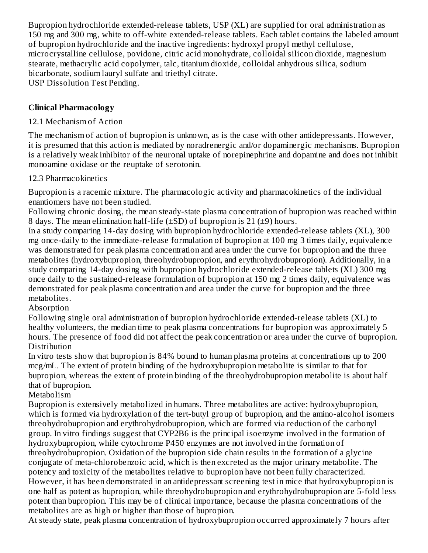Bupropion hydrochloride extended-release tablets, USP (XL) are supplied for oral administration as 150 mg and 300 mg, white to off-white extended-release tablets. Each tablet contains the labeled amount of bupropion hydrochloride and the inactive ingredients: hydroxyl propyl methyl cellulose, microcrystalline cellulose, povidone, citric acid monohydrate, colloidal silicon dioxide, magnesium stearate, methacrylic acid copolymer, talc, titanium dioxide, colloidal anhydrous silica, sodium bicarbonate, sodium lauryl sulfate and triethyl citrate.

USP Dissolution Test Pending.

## **Clinical Pharmacology**

#### 12.1 Mechanism of Action

The mechanism of action of bupropion is unknown, as is the case with other antidepressants. However, it is presumed that this action is mediated by noradrenergic and/or dopaminergic mechanisms. Bupropion is a relatively weak inhibitor of the neuronal uptake of norepinephrine and dopamine and does not inhibit monoamine oxidase or the reuptake of serotonin.

#### 12.3 Pharmacokinetics

Bupropion is a racemic mixture. The pharmacologic activity and pharmacokinetics of the individual enantiomers have not been studied.

Following chronic dosing, the mean steady-state plasma concentration of bupropion was reached within 8 days. The mean elimination half-life  $(\pm SD)$  of bupropion is 21 ( $\pm 9$ ) hours.

In a study comparing 14-day dosing with bupropion hydrochloride extended-release tablets (XL), 300 mg once-daily to the immediate-release formulation of bupropion at 100 mg 3 times daily, equivalence was demonstrated for peak plasma concentration and area under the curve for bupropion and the three metabolites (hydroxybupropion, threohydrobupropion, and erythrohydrobupropion). Additionally, in a study comparing 14-day dosing with bupropion hydrochloride extended-release tablets (XL) 300 mg once daily to the sustained-release formulation of bupropion at 150 mg 2 times daily, equivalence was demonstrated for peak plasma concentration and area under the curve for bupropion and the three metabolites.

Absorption

Following single oral administration of bupropion hydrochloride extended-release tablets (XL) to healthy volunteers, the median time to peak plasma concentrations for bupropion was approximately 5 hours. The presence of food did not affect the peak concentration or area under the curve of bupropion. Distribution

In vitro tests show that bupropion is 84% bound to human plasma proteins at concentrations up to 200 mcg/mL. The extent of protein binding of the hydroxybupropion metabolite is similar to that for bupropion, whereas the extent of protein binding of the threohydrobupropion metabolite is about half that of bupropion.

### Metabolism

Bupropion is extensively metabolized in humans. Three metabolites are active: hydroxybupropion, which is formed via hydroxylation of the tert-butyl group of bupropion, and the amino-alcohol isomers threohydrobupropion and erythrohydrobupropion, which are formed via reduction of the carbonyl group. In vitro findings suggest that CYP2B6 is the principal isoenzyme involved in the formation of hydroxybupropion, while cytochrome P450 enzymes are not involved in the formation of threohydrobupropion. Oxidation of the bupropion side chain results in the formation of a glycine conjugate of meta-chlorobenzoic acid, which is then excreted as the major urinary metabolite. The potency and toxicity of the metabolites relative to bupropion have not been fully characterized. However, it has been demonstrated in an antidepressant screening test in mice that hydroxybupropion is one half as potent as bupropion, while threohydrobupropion and erythrohydrobupropion are 5-fold less potent than bupropion. This may be of clinical importance, because the plasma concentrations of the metabolites are as high or higher than those of bupropion.

At steady state, peak plasma concentration of hydroxybupropion occurred approximately 7 hours after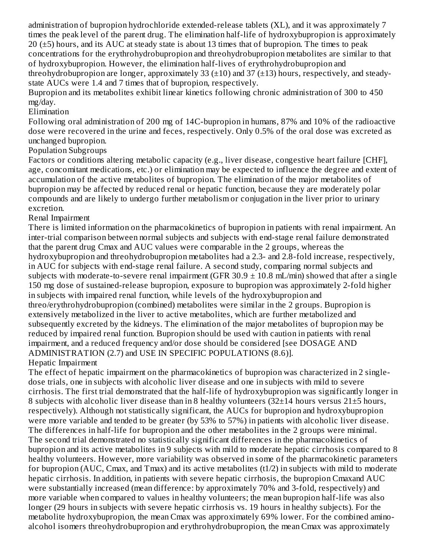administration of bupropion hydrochloride extended-release tablets (XL), and it was approximately 7 times the peak level of the parent drug. The elimination half-life of hydroxybupropion is approximately 20 (±5) hours, and its AUC at steady state is about 13 times that of bupropion. The times to peak concentrations for the erythrohydrobupropion and threohydrobupropion metabolites are similar to that of hydroxybupropion. However, the elimination half-lives of erythrohydrobupropion and threohydrobupropion are longer, approximately 33  $(\pm 10)$  and 37  $(\pm 13)$  hours, respectively, and steadystate AUCs were 1.4 and 7 times that of bupropion, respectively.

Bupropion and its metabolites exhibit linear kinetics following chronic administration of 300 to 450 mg/day.

#### Elimination

Following oral administration of 200 mg of 14C-bupropion in humans, 87% and 10% of the radioactive dose were recovered in the urine and feces, respectively. Only 0.5% of the oral dose was excreted as unchanged bupropion.

#### Population Subgroups

Factors or conditions altering metabolic capacity (e.g., liver disease, congestive heart failure [CHF], age, concomitant medications, etc.) or elimination may be expected to influence the degree and extent of accumulation of the active metabolites of bupropion. The elimination of the major metabolites of bupropion may be affected by reduced renal or hepatic function, because they are moderately polar compounds and are likely to undergo further metabolism or conjugation in the liver prior to urinary excretion.

#### Renal Impairment

There is limited information on the pharmacokinetics of bupropion in patients with renal impairment. An inter-trial comparison between normal subjects and subjects with end-stage renal failure demonstrated that the parent drug Cmax and AUC values were comparable in the 2 groups, whereas the hydroxybupropion and threohydrobupropion metabolites had a 2.3- and 2.8-fold increase, respectively, in AUC for subjects with end-stage renal failure. A second study, comparing normal subjects and subjects with moderate-to-severe renal impairment (GFR  $30.9 \pm 10.8$  mL/min) showed that after a single 150 mg dose of sustained-release bupropion, exposure to bupropion was approximately 2-fold higher in subjects with impaired renal function, while levels of the hydroxybupropion and threo/erythrohydrobupropion (combined) metabolites were similar in the 2 groups. Bupropion is extensively metabolized in the liver to active metabolites, which are further metabolized and subsequently excreted by the kidneys. The elimination of the major metabolites of bupropion may be reduced by impaired renal function. Bupropion should be used with caution in patients with renal impairment, and a reduced frequency and/or dose should be considered [see DOSAGE AND ADMINISTRATION (2.7) and USE IN SPECIFIC POPULATIONS (8.6)]. Hepatic Impairment

The effect of hepatic impairment on the pharmacokinetics of bupropion was characterized in 2 singledose trials, one in subjects with alcoholic liver disease and one in subjects with mild to severe cirrhosis. The first trial demonstrated that the half-life of hydroxybupropion was significantly longer in 8 subjects with alcoholic liver disease than in 8 healthy volunteers (32±14 hours versus 21±5 hours, respectively). Although not statistically significant, the AUCs for bupropion and hydroxybupropion were more variable and tended to be greater (by 53% to 57%) in patients with alcoholic liver disease. The differences in half-life for bupropion and the other metabolites in the 2 groups were minimal. The second trial demonstrated no statistically significant differences in the pharmacokinetics of bupropion and its active metabolites in 9 subjects with mild to moderate hepatic cirrhosis compared to 8 healthy volunteers. However, more variability was observed in some of the pharmacokinetic parameters for bupropion (AUC, Cmax, and Tmax) and its active metabolites (t1/2) in subjects with mild to moderate hepatic cirrhosis. In addition, in patients with severe hepatic cirrhosis, the bupropion Cmaxand AUC were substantially increased (mean difference: by approximately 70% and 3-fold, respectively) and more variable when compared to values in healthy volunteers; the mean bupropion half-life was also longer (29 hours in subjects with severe hepatic cirrhosis vs. 19 hours in healthy subjects). For the metabolite hydroxybupropion, the mean Cmax was approximately 69% lower. For the combined aminoalcohol isomers threohydrobupropion and erythrohydrobupropion, the mean Cmax was approximately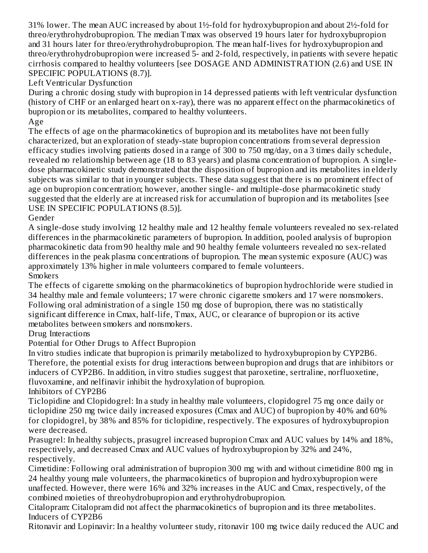31% lower. The mean AUC increased by about 1½-fold for hydroxybupropion and about 2½-fold for threo/erythrohydrobupropion. The median Tmax was observed 19 hours later for hydroxybupropion and 31 hours later for threo/erythrohydrobupropion. The mean half-lives for hydroxybupropion and threo/erythrohydrobupropion were increased 5- and 2-fold, respectively, in patients with severe hepatic cirrhosis compared to healthy volunteers [see DOSAGE AND ADMINISTRATION (2.6) and USE IN SPECIFIC POPULATIONS (8.7)].

Left Ventricular Dysfunction

During a chronic dosing study with bupropion in 14 depressed patients with left ventricular dysfunction (history of CHF or an enlarged heart on x-ray), there was no apparent effect on the pharmacokinetics of bupropion or its metabolites, compared to healthy volunteers. Age

The effects of age on the pharmacokinetics of bupropion and its metabolites have not been fully characterized, but an exploration of steady-state bupropion concentrations from several depression efficacy studies involving patients dosed in a range of 300 to 750 mg/day, on a 3 times daily schedule, revealed no relationship between age (18 to 83 years) and plasma concentration of bupropion. A singledose pharmacokinetic study demonstrated that the disposition of bupropion and its metabolites in elderly subjects was similar to that in younger subjects. These data suggest that there is no prominent effect of age on bupropion concentration; however, another single- and multiple-dose pharmacokinetic study suggested that the elderly are at increased risk for accumulation of bupropion and its metabolites [see USE IN SPECIFIC POPULATIONS (8.5)].

Gender

A single-dose study involving 12 healthy male and 12 healthy female volunteers revealed no sex-related differences in the pharmacokinetic parameters of bupropion. In addition, pooled analysis of bupropion pharmacokinetic data from 90 healthy male and 90 healthy female volunteers revealed no sex-related differences in the peak plasma concentrations of bupropion. The mean systemic exposure (AUC) was approximately 13% higher in male volunteers compared to female volunteers. **Smokers** 

The effects of cigarette smoking on the pharmacokinetics of bupropion hydrochloride were studied in 34 healthy male and female volunteers; 17 were chronic cigarette smokers and 17 were nonsmokers. Following oral administration of a single 150 mg dose of bupropion, there was no statistically significant difference in Cmax, half-life, Tmax, AUC, or clearance of bupropion or its active metabolites between smokers and nonsmokers.

Drug Interactions

Potential for Other Drugs to Affect Bupropion

In vitro studies indicate that bupropion is primarily metabolized to hydroxybupropion by CYP2B6. Therefore, the potential exists for drug interactions between bupropion and drugs that are inhibitors or inducers of CYP2B6. In addition, in vitro studies suggest that paroxetine, sertraline, norfluoxetine, fluvoxamine, and nelfinavir inhibit the hydroxylation of bupropion.

Inhibitors of CYP2B6

Ticlopidine and Clopidogrel: In a study in healthy male volunteers, clopidogrel 75 mg once daily or ticlopidine 250 mg twice daily increased exposures (Cmax and AUC) of bupropion by 40% and 60% for clopidogrel, by 38% and 85% for ticlopidine, respectively. The exposures of hydroxybupropion were decreased.

Prasugrel: In healthy subjects, prasugrel increased bupropion Cmax and AUC values by 14% and 18%, respectively, and decreased Cmax and AUC values of hydroxybupropion by 32% and 24%, respectively.

Cimetidine: Following oral administration of bupropion 300 mg with and without cimetidine 800 mg in 24 healthy young male volunteers, the pharmacokinetics of bupropion and hydroxybupropion were unaffected. However, there were 16% and 32% increases in the AUC and Cmax, respectively, of the combined moieties of threohydrobupropion and erythrohydrobupropion.

Citalopram: Citalopram did not affect the pharmacokinetics of bupropion and its three metabolites. Inducers of CYP2B6

Ritonavir and Lopinavir: In a healthy volunteer study, ritonavir 100 mg twice daily reduced the AUC and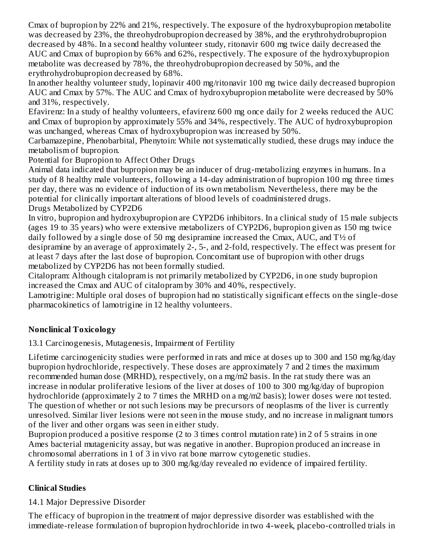Cmax of bupropion by 22% and 21%, respectively. The exposure of the hydroxybupropion metabolite was decreased by 23%, the threohydrobupropion decreased by 38%, and the erythrohydrobupropion decreased by 48%. In a second healthy volunteer study, ritonavir 600 mg twice daily decreased the AUC and Cmax of bupropion by 66% and 62%, respectively. The exposure of the hydroxybupropion metabolite was decreased by 78%, the threohydrobupropion decreased by 50%, and the erythrohydrobupropion decreased by 68%.

In another healthy volunteer study, lopinavir 400 mg/ritonavir 100 mg twice daily decreased bupropion AUC and Cmax by 57%. The AUC and Cmax of hydroxybupropion metabolite were decreased by 50% and 31%, respectively.

Efavirenz: In a study of healthy volunteers, efavirenz 600 mg once daily for 2 weeks reduced the AUC and Cmax of bupropion by approximately 55% and 34%, respectively. The AUC of hydroxybupropion was unchanged, whereas Cmax of hydroxybupropion was increased by 50%.

Carbamazepine, Phenobarbital, Phenytoin: While not systematically studied, these drugs may induce the metabolism of bupropion.

Potential for Bupropion to Affect Other Drugs

Animal data indicated that bupropion may be an inducer of drug-metabolizing enzymes in humans. In a study of 8 healthy male volunteers, following a 14-day administration of bupropion 100 mg three times per day, there was no evidence of induction of its own metabolism. Nevertheless, there may be the potential for clinically important alterations of blood levels of coadministered drugs. Drugs Metabolized by CYP2D6

In vitro, bupropion and hydroxybupropion are CYP2D6 inhibitors. In a clinical study of 15 male subjects (ages 19 to 35 years) who were extensive metabolizers of CYP2D6, bupropion given as 150 mg twice daily followed by a single dose of 50 mg desipramine increased the Cmax, AUC, and T½ of desipramine by an average of approximately 2-, 5-, and 2-fold, respectively. The effect was present for at least 7 days after the last dose of bupropion. Concomitant use of bupropion with other drugs metabolized by CYP2D6 has not been formally studied.

Citalopram: Although citalopram is not primarily metabolized by CYP2D6, in one study bupropion increased the Cmax and AUC of citalopram by 30% and 40%, respectively.

Lamotrigine: Multiple oral doses of bupropion had no statistically significant effects on the single-dose pharmacokinetics of lamotrigine in 12 healthy volunteers.

## **Nonclinical Toxicology**

13.1 Carcinogenesis, Mutagenesis, Impairment of Fertility

Lifetime carcinogenicity studies were performed in rats and mice at doses up to 300 and 150 mg/kg/day bupropion hydrochloride, respectively. These doses are approximately 7 and 2 times the maximum recommended human dose (MRHD), respectively, on a mg/m2 basis. In the rat study there was an increase in nodular proliferative lesions of the liver at doses of 100 to 300 mg/kg/day of bupropion hydrochloride (approximately 2 to 7 times the MRHD on a mg/m2 basis); lower doses were not tested. The question of whether or not such lesions may be precursors of neoplasms of the liver is currently unresolved. Similar liver lesions were not seen in the mouse study, and no increase in malignant tumors of the liver and other organs was seen in either study.

Bupropion produced a positive response (2 to 3 times control mutation rate) in 2 of 5 strains in one Ames bacterial mutagenicity assay, but was negative in another. Bupropion produced an increase in chromosomal aberrations in 1 of 3 in vivo rat bone marrow cytogenetic studies.

A fertility study in rats at doses up to 300 mg/kg/day revealed no evidence of impaired fertility.

## **Clinical Studies**

14.1 Major Depressive Disorder

The efficacy of bupropion in the treatment of major depressive disorder was established with the immediate-release formulation of bupropion hydrochloride in two 4-week, placebo-controlled trials in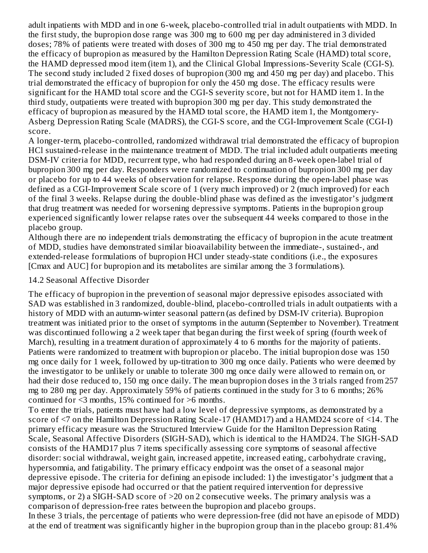adult inpatients with MDD and in one 6-week, placebo-controlled trial in adult outpatients with MDD. In the first study, the bupropion dose range was 300 mg to 600 mg per day administered in 3 divided doses; 78% of patients were treated with doses of 300 mg to 450 mg per day. The trial demonstrated the efficacy of bupropion as measured by the Hamilton Depression Rating Scale (HAMD) total score, the HAMD depressed mood item (item 1), and the Clinical Global Impressions-Severity Scale (CGI-S). The second study included 2 fixed doses of bupropion (300 mg and 450 mg per day) and placebo. This trial demonstrated the efficacy of bupropion for only the 450 mg dose. The efficacy results were significant for the HAMD total score and the CGI-S severity score, but not for HAMD item 1. In the third study, outpatients were treated with bupropion 300 mg per day. This study demonstrated the efficacy of bupropion as measured by the HAMD total score, the HAMD item 1, the Montgomery-Asberg Depression Rating Scale (MADRS), the CGI-S score, and the CGI-Improvement Scale (CGI-I) score.

A longer-term, placebo-controlled, randomized withdrawal trial demonstrated the efficacy of bupropion HCl sustained-release in the maintenance treatment of MDD. The trial included adult outpatients meeting DSM-IV criteria for MDD, recurrent type, who had responded during an 8-week open-label trial of bupropion 300 mg per day. Responders were randomized to continuation of bupropion 300 mg per day or placebo for up to 44 weeks of observation for relapse. Response during the open-label phase was defined as a CGI-Improvement Scale score of 1 (very much improved) or 2 (much improved) for each of the final 3 weeks. Relapse during the double-blind phase was defined as the investigator's judgment that drug treatment was needed for worsening depressive symptoms. Patients in the bupropion group experienced significantly lower relapse rates over the subsequent 44 weeks compared to those in the placebo group.

Although there are no independent trials demonstrating the efficacy of bupropion in the acute treatment of MDD, studies have demonstrated similar bioavailability between the immediate-, sustained-, and extended-release formulations of bupropion HCl under steady-state conditions (i.e., the exposures [Cmax and AUC] for bupropion and its metabolites are similar among the 3 formulations).

#### 14.2 Seasonal Affective Disorder

The efficacy of bupropion in the prevention of seasonal major depressive episodes associated with SAD was established in 3 randomized, double-blind, placebo-controlled trials in adult outpatients with a history of MDD with an autumn-winter seasonal pattern (as defined by DSM-IV criteria). Bupropion treatment was initiated prior to the onset of symptoms in the autumn (September to November). Treatment was discontinued following a 2 week taper that began during the first week of spring (fourth week of March), resulting in a treatment duration of approximately 4 to 6 months for the majority of patients. Patients were randomized to treatment with bupropion or placebo. The initial bupropion dose was 150 mg once daily for 1 week, followed by up-titration to 300 mg once daily. Patients who were deemed by the investigator to be unlikely or unable to tolerate 300 mg once daily were allowed to remain on, or had their dose reduced to, 150 mg once daily. The mean bupropion doses in the 3 trials ranged from 257 mg to 280 mg per day. Approximately 59% of patients continued in the study for 3 to 6 months; 26% continued for <3 months, 15% continued for >6 months.

To enter the trials, patients must have had a low level of depressive symptoms, as demonstrated by a score of <7 on the Hamilton Depression Rating Scale-17 (HAMD17) and a HAMD24 score of <14. The primary efficacy measure was the Structured Interview Guide for the Hamilton Depression Rating Scale, Seasonal Affective Disorders (SIGH-SAD), which is identical to the HAMD24. The SIGH-SAD consists of the HAMD17 plus 7 items specifically assessing core symptoms of seasonal affective disorder: social withdrawal, weight gain, increased appetite, increased eating, carbohydrate craving, hypersomnia, and fatigability. The primary efficacy endpoint was the onset of a seasonal major depressive episode. The criteria for defining an episode included: 1) the investigator's judgment that a major depressive episode had occurred or that the patient required intervention for depressive symptoms, or 2) a SIGH-SAD score of >20 on 2 consecutive weeks. The primary analysis was a comparison of depression-free rates between the bupropion and placebo groups. In these 3 trials, the percentage of patients who were depression-free (did not have an episode of MDD)

at the end of treatment was significantly higher in the bupropion group than in the placebo group: 81.4%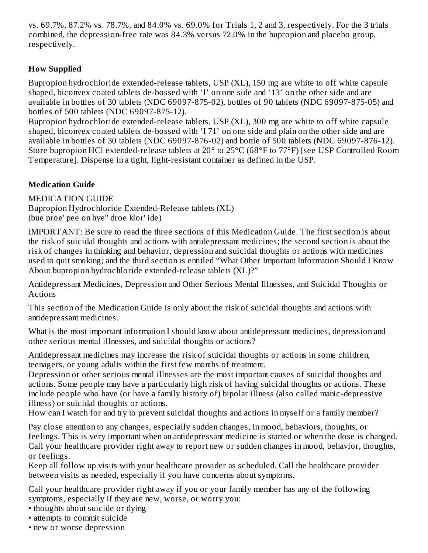vs. 69.7%, 87.2% vs. 78.7%, and 84.0% vs. 69.0% for Trials 1, 2 and 3, respectively. For the 3 trials combined, the depression-free rate was 84.3% versus 72.0% in the bupropion and placebo group, respectively.

## **How Supplied**

Bupropion hydrochloride extended-release tablets, USP (XL), 150 mg are white to off white capsule shaped, biconvex coated tablets de-bossed with 'I' on one side and '13' on the other side and are available in bottles of 30 tablets (NDC 69097-875-02), bottles of 90 tablets (NDC 69097-875-05) and bottles of 500 tablets (NDC 69097-875-12).

Bupropion hydrochloride extended-release tablets, USP (XL), 300 mg are white to off white capsule shaped, biconvex coated tablets de-bossed with 'I 71' on one side and plain on the other side and are available in bottles of 30 tablets (NDC 69097-876-02) and bottle of 500 tablets (NDC 69097-876-12). Store bupropion HCl extended-release tablets at 20° to 25°C (68°F to 77°F) [see USP Controlled Room Temperature]. Dispense in a tight, light-resistant container as defined in the USP.

## **Medication Guide**

MEDICATION GUIDE Bupropion Hydrochloride Extended-Release tablets (XL) (bue proe' pee on hye'' droe klor' ide)

IMPORTANT: Be sure to read the three sections of this Medication Guide. The first section is about the risk of suicidal thoughts and actions with antidepressant medicines; the second section is about the risk of changes in thinking and behavior, depression and suicidal thoughts or actions with medicines used to quit smoking; and the third section is entitled "What Other Important Information Should I Know About bupropion hydrochloride extended-release tablets (XL)?"

Antidepressant Medicines, Depression and Other Serious Mental Illnesses, and Suicidal Thoughts or Actions

This section of the Medication Guide is only about the risk of suicidal thoughts and actions with antidepressant medicines.

What is the most important information I should know about antidepressant medicines, depression and other serious mental illnesses, and suicidal thoughts or actions?

Antidepressant medicines may increase the risk of suicidal thoughts or actions in some children, teenagers, or young adults within the first few months of treatment.

Depression or other serious mental illnesses are the most important causes of suicidal thoughts and actions. Some people may have a particularly high risk of having suicidal thoughts or actions. These include people who have (or have a family history of) bipolar illness (also called manic-depressive illness) or suicidal thoughts or actions.

How can I watch for and try to prevent suicidal thoughts and actions in myself or a family member?

Pay close attention to any changes, especially sudden changes, in mood, behaviors, thoughts, or feelings. This is very important when an antidepressant medicine is started or when the dose is changed. Call your healthcare provider right away to report new or sudden changes in mood, behavior, thoughts, or feelings.

Keep all follow up visits with your healthcare provider as scheduled. Call the healthcare provider between visits as needed, especially if you have concerns about symptoms.

Call your healthcare provider right away if you or your family member has any of the following symptoms, especially if they are new, worse, or worry you:

- thoughts about suicide or dying
- attempts to commit suicide
- new or worse depression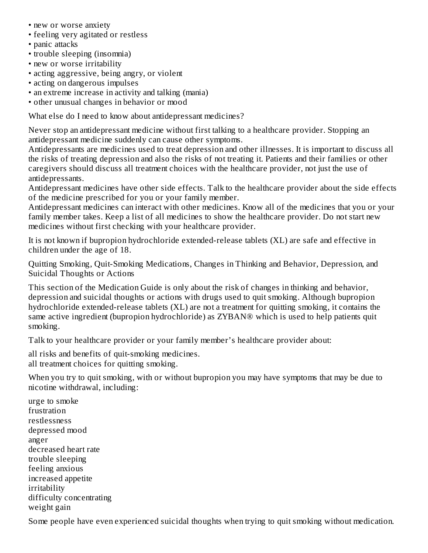- new or worse anxiety
- feeling very agitated or restless
- panic attacks
- trouble sleeping (insomnia)
- new or worse irritability
- acting aggressive, being angry, or violent
- acting on dangerous impulses
- an extreme increase in activity and talking (mania)
- other unusual changes in behavior or mood

What else do I need to know about antidepressant medicines?

Never stop an antidepressant medicine without first talking to a healthcare provider. Stopping an antidepressant medicine suddenly can cause other symptoms.

Antidepressants are medicines used to treat depression and other illnesses. It is important to discuss all the risks of treating depression and also the risks of not treating it. Patients and their families or other caregivers should discuss all treatment choices with the healthcare provider, not just the use of antidepressants.

Antidepressant medicines have other side effects. Talk to the healthcare provider about the side effects of the medicine prescribed for you or your family member.

Antidepressant medicines can interact with other medicines. Know all of the medicines that you or your family member takes. Keep a list of all medicines to show the healthcare provider. Do not start new medicines without first checking with your healthcare provider.

It is not known if bupropion hydrochloride extended-release tablets (XL) are safe and effective in children under the age of 18.

Quitting Smoking, Quit-Smoking Medications, Changes in Thinking and Behavior, Depression, and Suicidal Thoughts or Actions

This section of the Medication Guide is only about the risk of changes in thinking and behavior, depression and suicidal thoughts or actions with drugs used to quit smoking. Although bupropion hydrochloride extended-release tablets (XL) are not a treatment for quitting smoking, it contains the same active ingredient (bupropion hydrochloride) as ZYBAN® which is used to help patients quit smoking.

Talk to your healthcare provider or your family member's healthcare provider about:

all risks and benefits of quit-smoking medicines.

all treatment choices for quitting smoking.

When you try to quit smoking, with or without bupropion you may have symptoms that may be due to nicotine withdrawal, including:

urge to smoke frustration restlessness depressed mood anger decreased heart rate trouble sleeping feeling anxious increased appetite irritability difficulty concentrating weight gain

Some people have even experienced suicidal thoughts when trying to quit smoking without medication.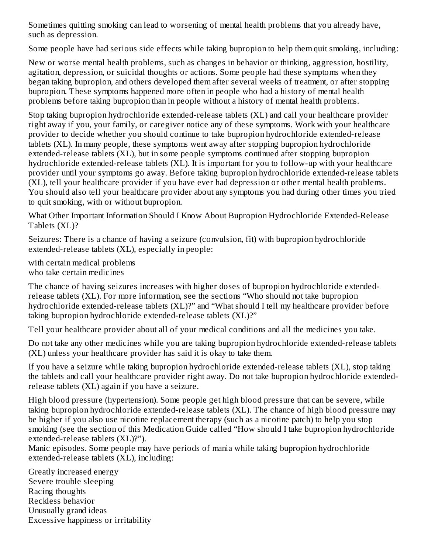Sometimes quitting smoking can lead to worsening of mental health problems that you already have, such as depression.

Some people have had serious side effects while taking bupropion to help them quit smoking, including:

New or worse mental health problems, such as changes in behavior or thinking, aggression, hostility, agitation, depression, or suicidal thoughts or actions. Some people had these symptoms when they began taking bupropion, and others developed them after several weeks of treatment, or after stopping bupropion. These symptoms happened more often in people who had a history of mental health problems before taking bupropion than in people without a history of mental health problems.

Stop taking bupropion hydrochloride extended-release tablets (XL) and call your healthcare provider right away if you, your family, or caregiver notice any of these symptoms. Work with your healthcare provider to decide whether you should continue to take bupropion hydrochloride extended-release tablets (XL). In many people, these symptoms went away after stopping bupropion hydrochloride extended-release tablets (XL), but in some people symptoms continued after stopping bupropion hydrochloride extended-release tablets (XL). It is important for you to follow-up with your healthcare provider until your symptoms go away. Before taking bupropion hydrochloride extended-release tablets (XL), tell your healthcare provider if you have ever had depression or other mental health problems. You should also tell your healthcare provider about any symptoms you had during other times you tried to quit smoking, with or without bupropion.

What Other Important Information Should I Know About Bupropion Hydrochloride Extended-Release Tablets (XL)?

Seizures: There is a chance of having a seizure (convulsion, fit) with bupropion hydrochloride extended-release tablets (XL), especially in people:

with certain medical problems who take certain medicines

The chance of having seizures increases with higher doses of bupropion hydrochloride extendedrelease tablets (XL). For more information, see the sections "Who should not take bupropion hydrochloride extended-release tablets (XL)?" and "What should I tell my healthcare provider before taking bupropion hydrochloride extended-release tablets (XL)?"

Tell your healthcare provider about all of your medical conditions and all the medicines you take.

Do not take any other medicines while you are taking bupropion hydrochloride extended-release tablets (XL) unless your healthcare provider has said it is okay to take them.

If you have a seizure while taking bupropion hydrochloride extended-release tablets (XL), stop taking the tablets and call your healthcare provider right away. Do not take bupropion hydrochloride extendedrelease tablets (XL) again if you have a seizure.

High blood pressure (hypertension). Some people get high blood pressure that can be severe, while taking bupropion hydrochloride extended-release tablets (XL). The chance of high blood pressure may be higher if you also use nicotine replacement therapy (such as a nicotine patch) to help you stop smoking (see the section of this Medication Guide called "How should I take bupropion hydrochloride extended-release tablets (XL)?").

Manic episodes. Some people may have periods of mania while taking bupropion hydrochloride extended-release tablets (XL), including:

Greatly increased energy Severe trouble sleeping Racing thoughts Reckless behavior Unusually grand ideas Excessive happiness or irritability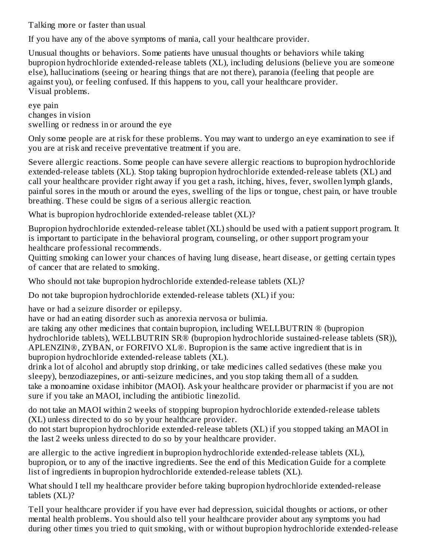Talking more or faster than usual

If you have any of the above symptoms of mania, call your healthcare provider.

Unusual thoughts or behaviors. Some patients have unusual thoughts or behaviors while taking bupropion hydrochloride extended-release tablets (XL), including delusions (believe you are someone else), hallucinations (seeing or hearing things that are not there), paranoia (feeling that people are against you), or feeling confused. If this happens to you, call your healthcare provider. Visual problems.

eye pain changes in vision swelling or redness in or around the eye

Only some people are at risk for these problems. You may want to undergo an eye examination to see if you are at risk and receive preventative treatment if you are.

Severe allergic reactions. Some people can have severe allergic reactions to bupropion hydrochloride extended-release tablets (XL). Stop taking bupropion hydrochloride extended-release tablets (XL) and call your healthcare provider right away if you get a rash, itching, hives, fever, swollen lymph glands, painful sores in the mouth or around the eyes, swelling of the lips or tongue, chest pain, or have trouble breathing. These could be signs of a serious allergic reaction.

What is bupropion hydrochloride extended-release tablet (XL)?

Bupropion hydrochloride extended-release tablet (XL) should be used with a patient support program. It is important to participate in the behavioral program, counseling, or other support program your healthcare professional recommends.

Quitting smoking can lower your chances of having lung disease, heart disease, or getting certain types of cancer that are related to smoking.

Who should not take bupropion hydrochloride extended-release tablets (XL)?

Do not take bupropion hydrochloride extended-release tablets (XL) if you:

have or had a seizure disorder or epilepsy.

have or had an eating disorder such as anorexia nervosa or bulimia.

are taking any other medicines that contain bupropion, including WELLBUTRIN ® (bupropion hydrochloride tablets), WELLBUTRIN SR® (bupropion hydrochloride sustained-release tablets (SR)), APLENZIN®, ZYBAN, or FORFIVO XL®. Bupropion is the same active ingredient that is in bupropion hydrochloride extended-release tablets (XL).

drink a lot of alcohol and abruptly stop drinking, or take medicines called sedatives (these make you sleepy), benzodiazepines, or anti-seizure medicines, and you stop taking them all of a sudden. take a monoamine oxidase inhibitor (MAOI). Ask your healthcare provider or pharmacist if you are not sure if you take an MAOI, including the antibiotic linezolid.

do not take an MAOI within 2 weeks of stopping bupropion hydrochloride extended-release tablets (XL) unless directed to do so by your healthcare provider.

do not start bupropion hydrochloride extended-release tablets (XL) if you stopped taking an MAOI in the last 2 weeks unless directed to do so by your healthcare provider.

are allergic to the active ingredient in bupropion hydrochloride extended-release tablets (XL), bupropion, or to any of the inactive ingredients. See the end of this Medication Guide for a complete list of ingredients in bupropion hydrochloride extended-release tablets (XL).

What should I tell my healthcare provider before taking bupropion hydrochloride extended-release tablets (XL)?

Tell your healthcare provider if you have ever had depression, suicidal thoughts or actions, or other mental health problems. You should also tell your healthcare provider about any symptoms you had during other times you tried to quit smoking, with or without bupropion hydrochloride extended-release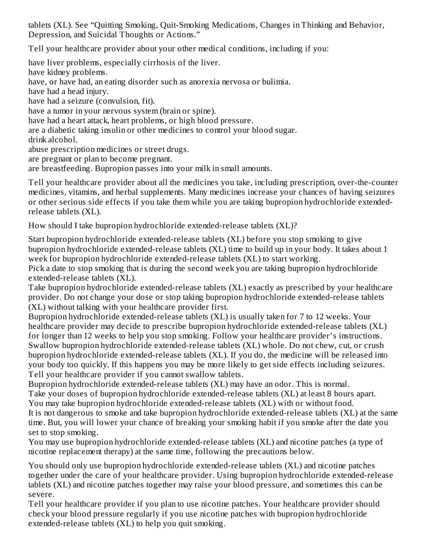tablets (XL). See "Quitting Smoking, Quit-Smoking Medications, Changes in Thinking and Behavior, Depression, and Suicidal Thoughts or Actions."

Tell your healthcare provider about your other medical conditions, including if you:

have liver problems, especially cirrhosis of the liver. have kidney problems. have, or have had, an eating disorder such as anorexia nervosa or bulimia. have had a head injury. have had a seizure (convulsion, fit). have a tumor in your nervous system (brain or spine). have had a heart attack, heart problems, or high blood pressure. are a diabetic taking insulin or other medicines to control your blood sugar. drink alcohol. abuse prescription medicines or street drugs. are pregnant or plan to become pregnant. are breastfeeding. Bupropion passes into your milk in small amounts.

Tell your healthcare provider about all the medicines you take, including prescription, over-the-counter medicines, vitamins, and herbal supplements. Many medicines increase your chances of having seizures or other serious side effects if you take them while you are taking bupropion hydrochloride extendedrelease tablets (XL).

How should I take bupropion hydrochloride extended-release tablets (XL)?

Start bupropion hydrochloride extended-release tablets (XL) before you stop smoking to give bupropion hydrochloride extended-release tablets (XL) time to build up in your body. It takes about 1 week for bupropion hydrochloride extended-release tablets (XL) to start working.

Pick a date to stop smoking that is during the second week you are taking bupropion hydrochloride extended-release tablets (XL).

Take bupropion hydrochloride extended-release tablets (XL) exactly as prescribed by your healthcare provider. Do not change your dose or stop taking bupropion hydrochloride extended-release tablets (XL) without talking with your healthcare provider first.

Bupropion hydrochloride extended-release tablets (XL) is usually taken for 7 to 12 weeks. Your healthcare provider may decide to prescribe bupropion hydrochloride extended-release tablets (XL) for longer than 12 weeks to help you stop smoking. Follow your healthcare provider's instructions. Swallow bupropion hydrochloride extended-release tablets (XL) whole. Do not chew, cut, or crush bupropion hydrochloride extended-release tablets (XL). If you do, the medicine will be released into your body too quickly. If this happens you may be more likely to get side effects including seizures. Tell your healthcare provider if you cannot swallow tablets.

Bupropion hydrochloride extended-release tablets (XL) may have an odor. This is normal. Take your doses of bupropion hydrochloride extended-release tablets (XL) at least 8 hours apart. You may take bupropion hydrochloride extended-release tablets (XL) with or without food.

It is not dangerous to smoke and take bupropion hydrochloride extended-release tablets (XL) at the same time. But, you will lower your chance of breaking your smoking habit if you smoke after the date you set to stop smoking.

You may use bupropion hydrochloride extended-release tablets (XL) and nicotine patches (a type of nicotine replacement therapy) at the same time, following the precautions below.

You should only use bupropion hydrochloride extended-release tablets (XL) and nicotine patches together under the care of your healthcare provider. Using bupropion hydrochloride extended-release tablets (XL) and nicotine patches together may raise your blood pressure, and sometimes this can be severe.

Tell your healthcare provider if you plan to use nicotine patches. Your healthcare provider should check your blood pressure regularly if you use nicotine patches with bupropion hydrochloride extended-release tablets (XL) to help you quit smoking.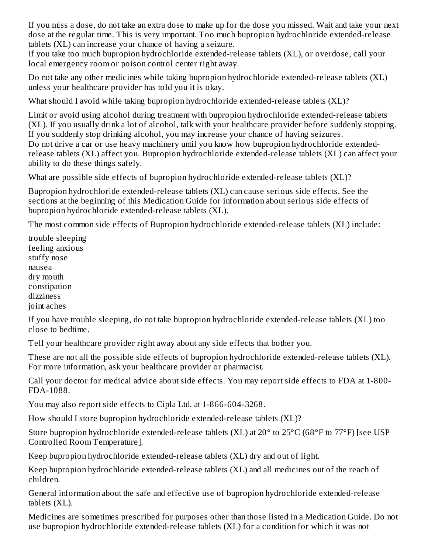If you miss a dose, do not take an extra dose to make up for the dose you missed. Wait and take your next dose at the regular time. This is very important. Too much bupropion hydrochloride extended-release tablets (XL) can increase your chance of having a seizure.

If you take too much bupropion hydrochloride extended-release tablets (XL), or overdose, call your local emergency room or poison control center right away.

Do not take any other medicines while taking bupropion hydrochloride extended-release tablets (XL) unless your healthcare provider has told you it is okay.

What should I avoid while taking bupropion hydrochloride extended-release tablets (XL)?

Limit or avoid using alcohol during treatment with bupropion hydrochloride extended-release tablets (XL). If you usually drink a lot of alcohol, talk with your healthcare provider before suddenly stopping. If you suddenly stop drinking alcohol, you may increase your chance of having seizures. Do not drive a car or use heavy machinery until you know how bupropion hydrochloride extendedrelease tablets (XL) affect you. Bupropion hydrochloride extended-release tablets (XL) can affect your ability to do these things safely.

What are possible side effects of bupropion hydrochloride extended-release tablets (XL)?

Bupropion hydrochloride extended-release tablets (XL) can cause serious side effects. See the sections at the beginning of this Medication Guide for information about serious side effects of bupropion hydrochloride extended-release tablets (XL).

The most common side effects of Bupropion hydrochloride extended-release tablets (XL) include:

trouble sleeping feeling anxious stuffy nose nausea dry mouth constipation dizziness joint aches

If you have trouble sleeping, do not take bupropion hydrochloride extended-release tablets (XL) too close to bedtime.

Tell your healthcare provider right away about any side effects that bother you.

These are not all the possible side effects of bupropion hydrochloride extended-release tablets (XL). For more information, ask your healthcare provider or pharmacist.

Call your doctor for medical advice about side effects. You may report side effects to FDA at 1-800- FDA-1088.

You may also report side effects to Cipla Ltd. at 1-866-604-3268.

How should I store bupropion hydrochloride extended-release tablets (XL)?

Store bupropion hydrochloride extended-release tablets (XL) at 20° to 25°C (68°F to 77°F) [see USP Controlled Room Temperature].

Keep bupropion hydrochloride extended-release tablets (XL) dry and out of light.

Keep bupropion hydrochloride extended-release tablets (XL) and all medicines out of the reach of children.

General information about the safe and effective use of bupropion hydrochloride extended-release tablets (XL).

Medicines are sometimes prescribed for purposes other than those listed in a Medication Guide. Do not use bupropion hydrochloride extended-release tablets (XL) for a condition for which it was not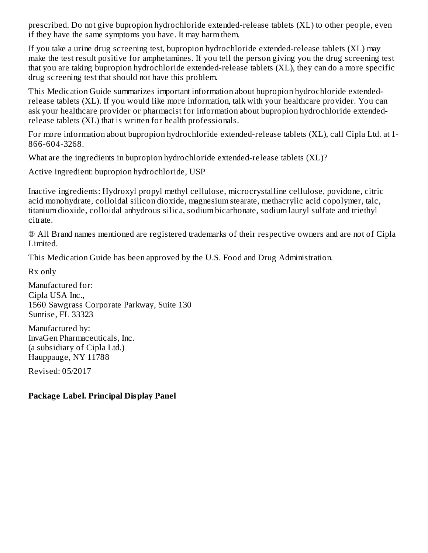prescribed. Do not give bupropion hydrochloride extended-release tablets (XL) to other people, even if they have the same symptoms you have. It may harm them.

If you take a urine drug screening test, bupropion hydrochloride extended-release tablets (XL) may make the test result positive for amphetamines. If you tell the person giving you the drug screening test that you are taking bupropion hydrochloride extended-release tablets (XL), they can do a more specific drug screening test that should not have this problem.

This Medication Guide summarizes important information about bupropion hydrochloride extendedrelease tablets (XL). If you would like more information, talk with your healthcare provider. You can ask your healthcare provider or pharmacist for information about bupropion hydrochloride extendedrelease tablets (XL) that is written for health professionals.

For more information about bupropion hydrochloride extended-release tablets (XL), call Cipla Ltd. at 1- 866-604-3268.

What are the ingredients in bupropion hydrochloride extended-release tablets (XL)?

Active ingredient: bupropion hydrochloride, USP

Inactive ingredients: Hydroxyl propyl methyl cellulose, microcrystalline cellulose, povidone, citric acid monohydrate, colloidal silicon dioxide, magnesium stearate, methacrylic acid copolymer, talc, titanium dioxide, colloidal anhydrous silica, sodium bicarbonate, sodium lauryl sulfate and triethyl citrate.

® All Brand names mentioned are registered trademarks of their respective owners and are not of Cipla Limited.

This Medication Guide has been approved by the U.S. Food and Drug Administration.

Rx only

Manufactured for: Cipla USA Inc., 1560 Sawgrass Corporate Parkway, Suite 130 Sunrise, FL 33323

Manufactured by: InvaGen Pharmaceuticals, Inc. (a subsidiary of Cipla Ltd.) Hauppauge, NY 11788

Revised: 05/2017

### **Package Label. Principal Display Panel**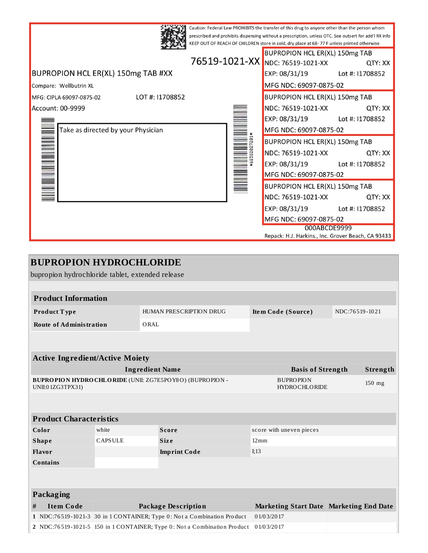| Caution: Federal Law PROHIBITS the transfer of this drug to anyone other than the person whom<br>prescribed and prohibits dispensing without a prescription, unless OTC. See outsert for add'l RX info |  |  |
|--------------------------------------------------------------------------------------------------------------------------------------------------------------------------------------------------------|--|--|
|                                                                                                                                                                                                        |  |  |
| KEEP OUT OF REACH OF CHILDREN store in cold, dry place at 68-77 F unless printed otherwise                                                                                                             |  |  |
| BUPROPION HCL ER(XL) 150mg TAB<br>76519-1021-XX NDC: 76519-1021-XX                                                                                                                                     |  |  |
| QTY: XX                                                                                                                                                                                                |  |  |
| Lot #: I1708852                                                                                                                                                                                        |  |  |
|                                                                                                                                                                                                        |  |  |
| <b>BUPROPION HCL ER(XL) 150mg TAB</b>                                                                                                                                                                  |  |  |
| QTY: XX                                                                                                                                                                                                |  |  |
| Lot #: I1708852                                                                                                                                                                                        |  |  |
| MFG NDC: 69097-0875-02                                                                                                                                                                                 |  |  |
| BUPROPION HCL ER(XL) 150mg TAB                                                                                                                                                                         |  |  |
| QTY: XX                                                                                                                                                                                                |  |  |
| Lot #: I1708852                                                                                                                                                                                        |  |  |
|                                                                                                                                                                                                        |  |  |
| BUPROPION HCL ER(XL) 150mg TAB                                                                                                                                                                         |  |  |
| QTY: XX                                                                                                                                                                                                |  |  |
| Lot #: I1708852                                                                                                                                                                                        |  |  |
|                                                                                                                                                                                                        |  |  |
| Repack: H.J. Harkins., Inc. Grover Beach, CA 93433                                                                                                                                                     |  |  |
|                                                                                                                                                                                                        |  |  |

| <b>BUPROPION HYDROCHLORIDE</b>                                              |                            |                                                                          |                     |                         |                          |                                          |  |                |  |
|-----------------------------------------------------------------------------|----------------------------|--------------------------------------------------------------------------|---------------------|-------------------------|--------------------------|------------------------------------------|--|----------------|--|
| bupropion hydrochloride tablet, extended release                            |                            |                                                                          |                     |                         |                          |                                          |  |                |  |
|                                                                             |                            |                                                                          |                     |                         |                          |                                          |  |                |  |
|                                                                             | <b>Product Information</b> |                                                                          |                     |                         |                          |                                          |  |                |  |
| Product Type                                                                |                            |                                                                          |                     | HUMAN PRESCRIPTION DRUG | Item Code (Source)       |                                          |  | NDC:76519-1021 |  |
| <b>Route of Administration</b>                                              |                            |                                                                          | ORAL                |                         |                          |                                          |  |                |  |
|                                                                             |                            |                                                                          |                     |                         |                          |                                          |  |                |  |
|                                                                             |                            |                                                                          |                     |                         |                          |                                          |  |                |  |
| <b>Active Ingredient/Active Moiety</b>                                      |                            |                                                                          |                     |                         |                          |                                          |  |                |  |
| <b>Ingredient Name</b>                                                      |                            |                                                                          |                     |                         |                          | <b>Basis of Strength</b>                 |  | Strength       |  |
| BUPROPION HYDROCHLORIDE (UNII: ZG7E5POY8O) (BUPROPION -<br>UNII:01ZG3TPX31) |                            |                                                                          |                     |                         |                          | <b>BUPROPION</b><br><b>HYDROCHLORIDE</b> |  | 150 mg         |  |
|                                                                             |                            |                                                                          |                     |                         |                          |                                          |  |                |  |
| <b>Product Characteristics</b>                                              |                            |                                                                          |                     |                         |                          |                                          |  |                |  |
| Color<br>white                                                              |                            |                                                                          | <b>Score</b>        |                         | score with uneven pieces |                                          |  |                |  |
| <b>CAPSULE</b><br><b>Shape</b>                                              |                            |                                                                          | <b>Size</b>         |                         | $12 \,\mathrm{mm}$       |                                          |  |                |  |
| Flavor                                                                      |                            |                                                                          | <b>Imprint Code</b> |                         | I:13                     |                                          |  |                |  |
|                                                                             | <b>Contains</b>            |                                                                          |                     |                         |                          |                                          |  |                |  |
|                                                                             |                            |                                                                          |                     |                         |                          |                                          |  |                |  |
| Packaging                                                                   |                            |                                                                          |                     |                         |                          |                                          |  |                |  |
|                                                                             |                            |                                                                          |                     |                         |                          |                                          |  |                |  |
| #                                                                           | <b>Item Code</b>           | <b>Package Description</b>                                               |                     |                         | 01/03/2017               | Marketing Start Date Marketing End Date  |  |                |  |
|                                                                             |                            | 1 NDC:76519-1021-3 30 in 1 CONTAINER; Type 0: Not a Combination Product  |                     |                         | 01/03/2017               |                                          |  |                |  |
|                                                                             |                            | 2 NDC:76519-1021-5 150 in 1 CONTAINER; Type 0: Not a Combination Product |                     |                         |                          |                                          |  |                |  |